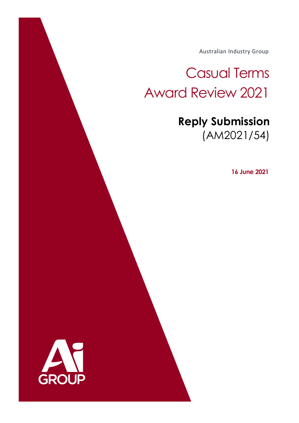Australian Industry Group

Casual Terms Award Review 2021

> **Reply Submission**  (AM2021/54)

> > **16 June 2021**

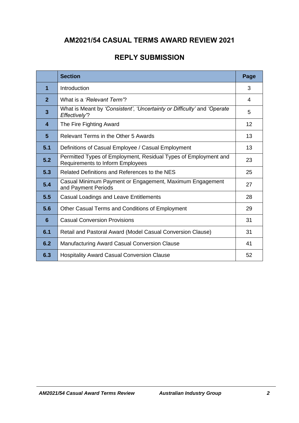# **AM2021/54 CASUAL TERMS AWARD REVIEW 2021**

# **REPLY SUBMISSION**

|                         | <b>Section</b>                                                                                             | Page |
|-------------------------|------------------------------------------------------------------------------------------------------------|------|
| 1                       | Introduction                                                                                               | 3    |
| $\overline{2}$          | What is a 'Relevant Term'?                                                                                 | 4    |
| $\overline{\mathbf{3}}$ | What is Meant by 'Consistent', 'Uncertainty or Difficulty' and 'Operate<br>Effectively"?                   | 5    |
| $\overline{\mathbf{4}}$ | The Fire Fighting Award                                                                                    | 12   |
| $5\phantom{.0}$         | Relevant Terms in the Other 5 Awards                                                                       | 13   |
| 5.1                     | Definitions of Casual Employee / Casual Employment                                                         | 13   |
| 5.2                     | Permitted Types of Employment, Residual Types of Employment and<br><b>Requirements to Inform Employees</b> | 23   |
| 5.3                     | Related Definitions and References to the NES                                                              | 25   |
| 5.4                     | Casual Minimum Payment or Engagement, Maximum Engagement<br>and Payment Periods                            | 27   |
| 5.5                     | Casual Loadings and Leave Entitlements                                                                     | 28   |
| 5.6                     | Other Casual Terms and Conditions of Employment                                                            | 29   |
| 6                       | <b>Casual Conversion Provisions</b>                                                                        | 31   |
| 6.1                     | Retail and Pastoral Award (Model Casual Conversion Clause)                                                 | 31   |
| 6.2                     | Manufacturing Award Casual Conversion Clause                                                               | 41   |
| 6.3                     | <b>Hospitality Award Casual Conversion Clause</b>                                                          | 52   |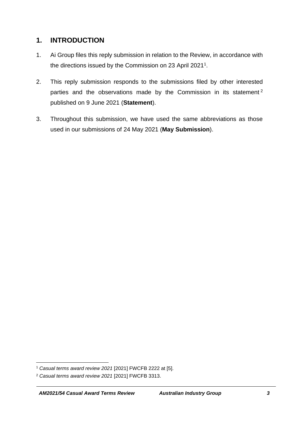# **1. INTRODUCTION**

- 1. Ai Group files this reply submission in relation to the Review, in accordance with the directions issued by the Commission on 23 April 2021 $^{\rm 1}.$
- 2. This reply submission responds to the submissions filed by other interested parties and the observations made by the Commission in its statement<sup>2</sup> published on 9 June 2021 (**Statement**).
- 3. Throughout this submission, we have used the same abbreviations as those used in our submissions of 24 May 2021 (**May Submission**).

<sup>1</sup> *Casual terms award review 2021* [2021] FWCFB 2222 at [5].

<sup>2</sup> *Casual terms award review 2021* [2021] FWCFB 3313.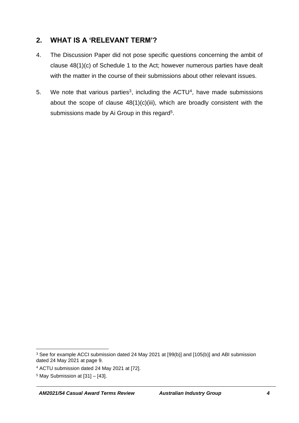# **2. WHAT IS A 'RELEVANT TERM'?**

- 4. The Discussion Paper did not pose specific questions concerning the ambit of clause 48(1)(c) of Schedule 1 to the Act; however numerous parties have dealt with the matter in the course of their submissions about other relevant issues.
- 5. We note that various parties<sup>3</sup>, including the  $ACTU<sup>4</sup>$ , have made submissions about the scope of clause  $48(1)(c)(iii)$ , which are broadly consistent with the submissions made by Ai Group in this regard<sup>5</sup>.

<sup>&</sup>lt;sup>3</sup> See for example ACCI submission dated 24 May 2021 at [99(b)] and [105(b)] and ABI submission dated 24 May 2021 at page 9.

<sup>4</sup> ACTU submission dated 24 May 2021 at [72].

 $5$  May Submission at  $[31] - [43]$ .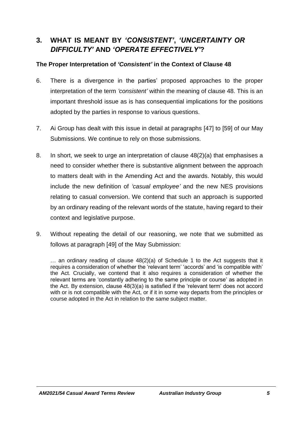# **3. WHAT IS MEANT BY** *'CONSISTENT'***,** *'UNCERTAINTY OR DIFFICULTY'* **AND** *'OPERATE EFFECTIVELY'***?**

#### **The Proper Interpretation of** *'Consistent'* **in the Context of Clause 48**

- 6. There is a divergence in the parties' proposed approaches to the proper interpretation of the term *'consistent'* within the meaning of clause 48. This is an important threshold issue as is has consequential implications for the positions adopted by the parties in response to various questions.
- 7. Ai Group has dealt with this issue in detail at paragraphs [47] to [59] of our May Submissions. We continue to rely on those submissions.
- 8. In short, we seek to urge an interpretation of clause 48(2)(a) that emphasises a need to consider whether there is substantive alignment between the approach to matters dealt with in the Amending Act and the awards. Notably, this would include the new definition of *'casual employee'* and the new NES provisions relating to casual conversion. We contend that such an approach is supported by an ordinary reading of the relevant words of the statute, having regard to their context and legislative purpose.
- 9. Without repeating the detail of our reasoning, we note that we submitted as follows at paragraph [49] of the May Submission:

… an ordinary reading of clause 48(2)(a) of Schedule 1 to the Act suggests that it requires a consideration of whether the 'relevant term' 'accords' and 'is compatible with' the Act. Crucially, we contend that it also requires a consideration of whether the relevant terms are 'constantly adhering to the same principle or course' as adopted in the Act. By extension, clause 48(3)(a) is satisfied if the 'relevant term' does not accord with or is not compatible with the Act, or if it in some way departs from the principles or course adopted in the Act in relation to the same subject matter.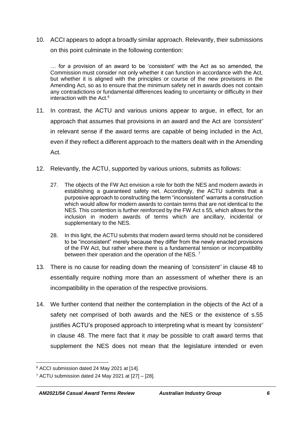10. ACCI appears to adopt a broadly similar approach. Relevantly, their submissions on this point culminate in the following contention:

… for a provision of an award to be 'consistent' with the Act as so amended, the Commission must consider not only whether it can function in accordance with the Act, but whether it is aligned with the principles or course of the new provisions in the Amending Act, so as to ensure that the minimum safety net in awards does not contain any contradictions or fundamental differences leading to uncertainty or difficulty in their interaction with the Act.<sup>6</sup>

- 11. In contrast, the ACTU and various unions appear to argue, in effect, for an approach that assumes that provisions in an award and the Act are *'consistent'* in relevant sense if the award terms are capable of being included in the Act, even if they reflect a different approach to the matters dealt with in the Amending Act.
- 12. Relevantly, the ACTU, supported by various unions, submits as follows:
	- 27. The objects of the FW Act envision a role for both the NES and modern awards in establishing a guaranteed safety net. Accordingly, the ACTU submits that a purposive approach to constructing the term "inconsistent" warrants a construction which would allow for modern awards to contain terms that are not identical to the NES. This contention is further reinforced by the FW Act s 55, which allows for the inclusion in modern awards of terms which are ancillary, incidental or supplementary to the NES.
	- 28. In this light, the ACTU submits that modern award terms should not be considered to be "inconsistent" merely because they differ from the newly enacted provisions of the FW Act, but rather where there is a fundamental tension or incompatibility between their operation and the operation of the NES.<sup>7</sup>
- 13. There is no cause for reading down the meaning of *'consistent'* in clause 48 to essentially require nothing more than an assessment of whether there is an incompatibility in the operation of the respective provisions.
- 14. We further contend that neither the contemplation in the objects of the Act of a safety net comprised of both awards and the NES or the existence of s.55 justifies ACTU's proposed approach to interpreting what is meant by *'consistent'* in clause 48. The mere fact that it *may* be possible to craft award terms that supplement the NES does not mean that the legislature intended or even

<sup>6</sup> ACCI submission dated 24 May 2021 at [14].

 $7$  ACTU submission dated 24 May 2021 at  $[27] - [28]$ .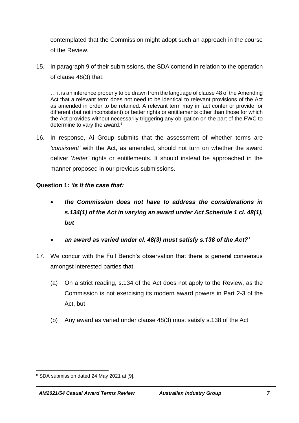contemplated that the Commission might adopt such an approach in the course of the Review.

15. In paragraph 9 of their submissions, the SDA contend in relation to the operation of clause 48(3) that:

… it is an inference properly to be drawn from the language of clause 48 of the Amending Act that a relevant term does not need to be identical to relevant provisions of the Act as amended in order to be retained. A relevant term may in fact confer or provide for different (but not inconsistent) or better rights or entitlements other than those for which the Act provides without necessarily triggering any obligation on the part of the FWC to determine to vary the award.<sup>8</sup>

16. In response, Ai Group submits that the assessment of whether terms are *'consistent'* with the Act, as amended, should not turn on whether the award deliver '*better'* rights or entitlements. It should instead be approached in the manner proposed in our previous submissions.

#### **Question 1:** *'Is it the case that:*

- *the Commission does not have to address the considerations in s.134(1) of the Act in varying an award under Act Schedule 1 cl. 48(1), but*
- *an award as varied under cl. 48(3) must satisfy s.138 of the Act?'*
- 17. We concur with the Full Bench's observation that there is general consensus amongst interested parties that:
	- (a) On a strict reading, s.134 of the Act does not apply to the Review, as the Commission is not exercising its modern award powers in Part 2-3 of the Act, but
	- (b) Any award as varied under clause 48(3) must satisfy s.138 of the Act.

<sup>8</sup> SDA submission dated 24 May 2021 at [9].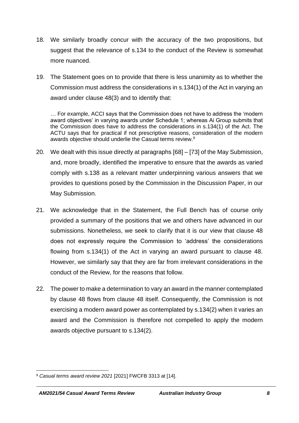- 18. We similarly broadly concur with the accuracy of the two propositions, but suggest that the relevance of s.134 to the conduct of the Review is somewhat more nuanced.
- 19. The Statement goes on to provide that there is less unanimity as to whether the Commission must address the considerations in s.134(1) of the Act in varying an award under clause 48(3) and to identify that:

… For example, ACCI says that the Commission does not have to address the 'modern award objectives' in varying awards under Schedule 1; whereas Ai Group submits that the Commission does have to address the considerations in s.134(1) of the Act. The ACTU says that for practical if not prescriptive reasons, consideration of the modern awards objective should underlie the Casual terms review.<sup>9</sup>

- 20. We dealt with this issue directly at paragraphs [68] [73] of the May Submission, and, more broadly, identified the imperative to ensure that the awards as varied comply with s.138 as a relevant matter underpinning various answers that we provides to questions posed by the Commission in the Discussion Paper, in our May Submission.
- 21. We acknowledge that in the Statement, the Full Bench has of course only provided a summary of the positions that we and others have advanced in our submissions. Nonetheless, we seek to clarify that it is our view that clause 48 does not expressly require the Commission to 'address' the considerations flowing from s.134(1) of the Act in varying an award pursuant to clause 48. However, we similarly say that they are far from irrelevant considerations in the conduct of the Review, for the reasons that follow.
- 22. The power to make a determination to vary an award in the manner contemplated by clause 48 flows from clause 48 itself. Consequently, the Commission is not exercising a modern award power as contemplated by s.134(2) when it varies an award and the Commission is therefore not compelled to apply the modern awards objective pursuant to s.134(2).

<sup>9</sup> *Casual terms award review 2021* [2021] FWCFB 3313 at [14].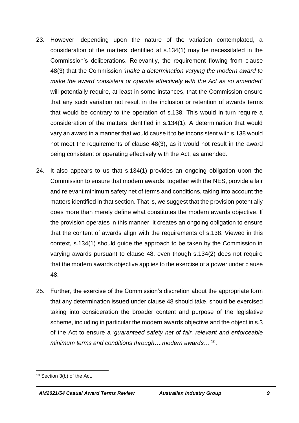- 23. However, depending upon the nature of the variation contemplated, a consideration of the matters identified at s.134(1) may be necessitated in the Commission's deliberations. Relevantly, the requirement flowing from clause 48(3) that the Commission *'make a determination varying the modern award to make the award consistent or operate effectively with the Act as so amended'* will potentially require, at least in some instances, that the Commission ensure that any such variation not result in the inclusion or retention of awards terms that would be contrary to the operation of s.138. This would in turn require a consideration of the matters identified in s.134(1). A determination that would vary an award in a manner that would cause it to be inconsistent with s.138 would not meet the requirements of clause 48(3), as it would not result in the award being consistent or operating effectively with the Act, as amended.
- 24. It also appears to us that s.134(1) provides an ongoing obligation upon the Commission to ensure that modern awards, together with the NES, provide a fair and relevant minimum safety net of terms and conditions, taking into account the matters identified in that section. That is, we suggest that the provision potentially does more than merely define what constitutes the modern awards objective. If the provision operates in this manner, it creates an ongoing obligation to ensure that the content of awards align with the requirements of s.138. Viewed in this context, s.134(1) should guide the approach to be taken by the Commission in varying awards pursuant to clause 48, even though s.134(2) does not require that the modern awards objective applies to the exercise of a power under clause 48.
- 25. Further, the exercise of the Commission's discretion about the appropriate form that any determination issued under clause 48 should take, should be exercised taking into consideration the broader content and purpose of the legislative scheme, including in particular the modern awards objective and the object in s.3 of the Act to ensure a *'guaranteed safety net of fair, relevant and enforceable minimum terms and conditions through….modern awards…'* 10 .

<sup>10</sup> Section 3(b) of the Act.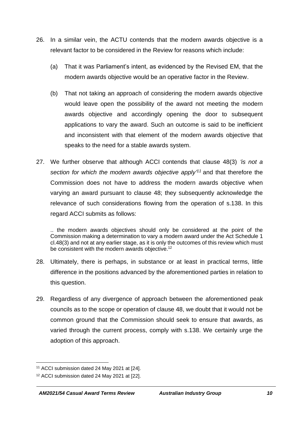- 26. In a similar vein, the ACTU contends that the modern awards objective is a relevant factor to be considered in the Review for reasons which include:
	- (a) That it was Parliament's intent, as evidenced by the Revised EM, that the modern awards objective would be an operative factor in the Review.
	- (b) That not taking an approach of considering the modern awards objective would leave open the possibility of the award not meeting the modern awards objective and accordingly opening the door to subsequent applications to vary the award. Such an outcome is said to be inefficient and inconsistent with that element of the modern awards objective that speaks to the need for a stable awards system.
- 27. We further observe that although ACCI contends that clause 48(3) *'is not a section for which the modern awards objective apply' <sup>11</sup>* and that therefore the Commission does not have to address the modern awards objective when varying an award pursuant to clause 48; they subsequently acknowledge the relevance of such considerations flowing from the operation of s.138. In this regard ACCI submits as follows:

.. the modern awards objectives should only be considered at the point of the Commission making a determination to vary a modern award under the Act Schedule 1 cl.48(3) and not at any earlier stage, as it is only the outcomes of this review which must be consistent with the modern awards objective.<sup>12</sup>

- 28. Ultimately, there is perhaps, in substance or at least in practical terms, little difference in the positions advanced by the aforementioned parties in relation to this question.
- 29. Regardless of any divergence of approach between the aforementioned peak councils as to the scope or operation of clause 48, we doubt that it would not be common ground that the Commission should seek to ensure that awards, as varied through the current process, comply with s.138. We certainly urge the adoption of this approach.

<sup>11</sup> ACCI submission dated 24 May 2021 at [24].

<sup>12</sup> ACCI submission dated 24 May 2021 at [22].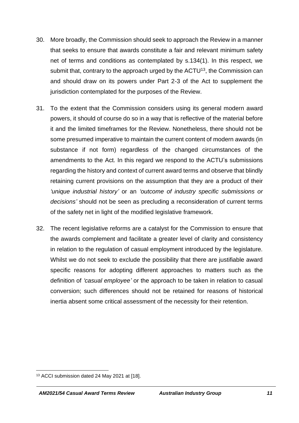- 30. More broadly, the Commission should seek to approach the Review in a manner that seeks to ensure that awards constitute a fair and relevant minimum safety net of terms and conditions as contemplated by s.134(1). In this respect, we submit that, contrary to the approach urged by the  $ACTU<sup>13</sup>$ , the Commission can and should draw on its powers under Part 2-3 of the Act to supplement the jurisdiction contemplated for the purposes of the Review.
- 31. To the extent that the Commission considers using its general modern award powers, it should of course do so in a way that is reflective of the material before it and the limited timeframes for the Review. Nonetheless, there should not be some presumed imperative to maintain the current content of modern awards (in substance if not form) regardless of the changed circumstances of the amendments to the Act. In this regard we respond to the ACTU's submissions regarding the history and context of current award terms and observe that blindly retaining current provisions on the assumption that they are a product of their *'unique industrial history'* or an *'outcome of industry specific submissions or decisions'* should not be seen as precluding a reconsideration of current terms of the safety net in light of the modified legislative framework.
- 32. The recent legislative reforms are a catalyst for the Commission to ensure that the awards complement and facilitate a greater level of clarity and consistency in relation to the regulation of casual employment introduced by the legislature. Whilst we do not seek to exclude the possibility that there are justifiable award specific reasons for adopting different approaches to matters such as the definition of *'casual employee'* or the approach to be taken in relation to casual conversion; such differences should not be retained for reasons of historical inertia absent some critical assessment of the necessity for their retention.

<sup>13</sup> ACCI submission dated 24 May 2021 at [18].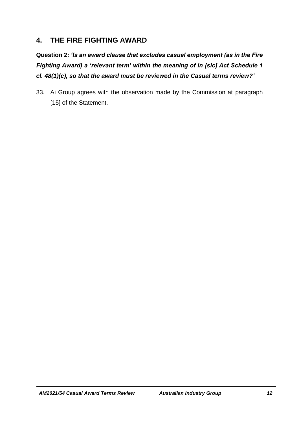# **4. THE FIRE FIGHTING AWARD**

**Question 2:** *'Is an award clause that excludes casual employment (as in the Fire Fighting Award) a 'relevant term' within the meaning of in [sic] Act Schedule 1 cl. 48(1)(c), so that the award must be reviewed in the Casual terms review?'* 

33. Ai Group agrees with the observation made by the Commission at paragraph [15] of the Statement.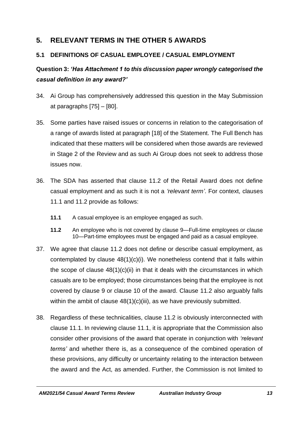# **5. RELEVANT TERMS IN THE OTHER 5 AWARDS**

## **5.1 DEFINITIONS OF CASUAL EMPLOYEE / CASUAL EMPLOYMENT**

# **Question 3:** *'Has Attachment 1 to this discussion paper wrongly categorised the casual definition in any award?'*

- 34. Ai Group has comprehensively addressed this question in the May Submission at paragraphs  $[75] - [80]$ .
- 35. Some parties have raised issues or concerns in relation to the categorisation of a range of awards listed at paragraph [18] of the Statement. The Full Bench has indicated that these matters will be considered when those awards are reviewed in Stage 2 of the Review and as such Ai Group does not seek to address those issues now.
- 36. The SDA has asserted that clause 11.2 of the Retail Award does not define casual employment and as such it is not a *'relevant term'*. For context, clauses 11.1 and 11.2 provide as follows:
	- **11.1** A casual employee is an employee engaged as such.
	- **11.2** An employee who is not covered by clause 9—Full-time employees or clause 10—Part-time employees must be engaged and paid as a casual employee.
- 37. We agree that clause 11.2 does not define or describe casual employment, as contemplated by clause  $48(1)(c)(i)$ . We nonetheless contend that it falls within the scope of clause  $48(1)(c)(ii)$  in that it deals with the circumstances in which casuals are to be employed; those circumstances being that the employee is not covered by clause 9 or clause 10 of the award. Clause 11.2 also arguably falls within the ambit of clause  $48(1)(c)(iii)$ , as we have previously submitted.
- 38. Regardless of these technicalities, clause 11.2 is obviously interconnected with clause 11.1. In reviewing clause 11.1, it is appropriate that the Commission also consider other provisions of the award that operate in conjunction with *'relevant terms'* and whether there is, as a consequence of the combined operation of these provisions, any difficulty or uncertainty relating to the interaction between the award and the Act, as amended. Further, the Commission is not limited to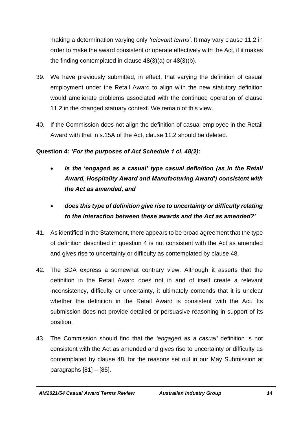making a determination varying only *'relevant terms'*. It may vary clause 11.2 in order to make the award consistent or operate effectively with the Act, if it makes the finding contemplated in clause 48(3)(a) or 48(3)(b).

- 39. We have previously submitted, in effect, that varying the definition of casual employment under the Retail Award to align with the new statutory definition would ameliorate problems associated with the continued operation of clause 11.2 in the changed statuary context. We remain of this view.
- 40. If the Commission does not align the definition of casual employee in the Retail Award with that in s.15A of the Act, clause 11.2 should be deleted.

## **Question 4:** *'For the purposes of Act Schedule 1 cl. 48(2):*

- *is the 'engaged as a casual' type casual definition (as in the Retail Award, Hospitality Award and Manufacturing Award') consistent with the Act as amended, and*
- *does this type of definition give rise to uncertainty or difficulty relating to the interaction between these awards and the Act as amended?'*
- 41. As identified in the Statement, there appears to be broad agreement that the type of definition described in question 4 is not consistent with the Act as amended and gives rise to uncertainty or difficulty as contemplated by clause 48.
- 42. The SDA express a somewhat contrary view. Although it asserts that the definition in the Retail Award does not in and of itself create a relevant inconsistency, difficulty or uncertainty, it ultimately contends that it is unclear whether the definition in the Retail Award is consistent with the Act. Its submission does not provide detailed or persuasive reasoning in support of its position.
- 43. The Commission should find that the *'engaged as a casual'* definition is not consistent with the Act as amended and gives rise to uncertainty or difficulty as contemplated by clause 48, for the reasons set out in our May Submission at paragraphs  $[81] - [85]$ .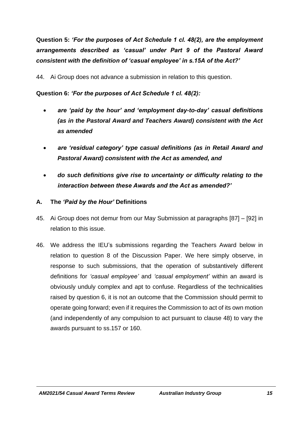**Question 5:** *'For the purposes of Act Schedule 1 cl. 48(2), are the employment arrangements described as 'casual' under Part 9 of the Pastoral Award consistent with the definition of 'casual employee' in s.15A of the Act?'*

44. Ai Group does not advance a submission in relation to this question.

**Question 6:** *'For the purposes of Act Schedule 1 cl. 48(2):*

- *are 'paid by the hour' and 'employment day-to-day' casual definitions (as in the Pastoral Award and Teachers Award) consistent with the Act as amended*
- *are 'residual category' type casual definitions (as in Retail Award and Pastoral Award) consistent with the Act as amended, and*
- *do such definitions give rise to uncertainty or difficulty relating to the interaction between these Awards and the Act as amended?'*
- **A. The** *'Paid by the Hour'* **Definitions**
- 45. Ai Group does not demur from our May Submission at paragraphs [87] [92] in relation to this issue.
- 46. We address the IEU's submissions regarding the Teachers Award below in relation to question 8 of the Discussion Paper. We here simply observe, in response to such submissions, that the operation of substantively different definitions for *'casual employee'* and *'casual employment'* within an award is obviously unduly complex and apt to confuse. Regardless of the technicalities raised by question 6, it is not an outcome that the Commission should permit to operate going forward; even if it requires the Commission to act of its own motion (and independently of any compulsion to act pursuant to clause 48) to vary the awards pursuant to ss.157 or 160.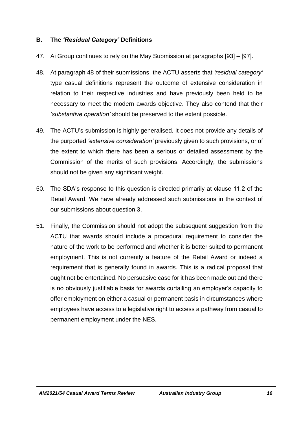#### **B. The** *'Residual Category'* **Definitions**

- 47. Ai Group continues to rely on the May Submission at paragraphs [93] [97].
- 48. At paragraph 48 of their submissions, the ACTU asserts that *'residual category'* type casual definitions represent the outcome of extensive consideration in relation to their respective industries and have previously been held to be necessary to meet the modern awards objective. They also contend that their *'substantive operation'* should be preserved to the extent possible.
- 49. The ACTU's submission is highly generalised. It does not provide any details of the purported *'extensive consideration'* previously given to such provisions, or of the extent to which there has been a serious or detailed assessment by the Commission of the merits of such provisions. Accordingly, the submissions should not be given any significant weight.
- 50. The SDA's response to this question is directed primarily at clause 11.2 of the Retail Award. We have already addressed such submissions in the context of our submissions about question 3.
- 51. Finally, the Commission should not adopt the subsequent suggestion from the ACTU that awards should include a procedural requirement to consider the nature of the work to be performed and whether it is better suited to permanent employment. This is not currently a feature of the Retail Award or indeed a requirement that is generally found in awards. This is a radical proposal that ought not be entertained. No persuasive case for it has been made out and there is no obviously justifiable basis for awards curtailing an employer's capacity to offer employment on either a casual or permanent basis in circumstances where employees have access to a legislative right to access a pathway from casual to permanent employment under the NES.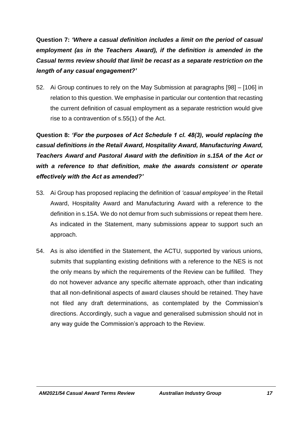**Question 7:** *'Where a casual definition includes a limit on the period of casual employment (as in the Teachers Award), if the definition is amended in the Casual terms review should that limit be recast as a separate restriction on the length of any casual engagement?'*

52. Ai Group continues to rely on the May Submission at paragraphs [98] – [106] in relation to this question. We emphasise in particular our contention that recasting the current definition of casual employment as a separate restriction would give rise to a contravention of s.55(1) of the Act.

**Question 8:** *'For the purposes of Act Schedule 1 cl. 48(3), would replacing the casual definitions in the Retail Award, Hospitality Award, Manufacturing Award, Teachers Award and Pastoral Award with the definition in s.15A of the Act or with a reference to that definition, make the awards consistent or operate effectively with the Act as amended?'*

- 53. Ai Group has proposed replacing the definition of *'casual employee'* in the Retail Award, Hospitality Award and Manufacturing Award with a reference to the definition in s.15A. We do not demur from such submissions or repeat them here. As indicated in the Statement, many submissions appear to support such an approach.
- 54. As is also identified in the Statement, the ACTU, supported by various unions, submits that supplanting existing definitions with a reference to the NES is not the only means by which the requirements of the Review can be fulfilled. They do not however advance any specific alternate approach, other than indicating that all non-definitional aspects of award clauses should be retained. They have not filed any draft determinations, as contemplated by the Commission's directions. Accordingly, such a vague and generalised submission should not in any way guide the Commission's approach to the Review.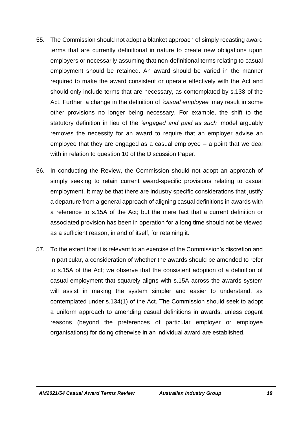- 55. The Commission should not adopt a blanket approach of simply recasting award terms that are currently definitional in nature to create new obligations upon employers or necessarily assuming that non-definitional terms relating to casual employment should be retained. An award should be varied in the manner required to make the award consistent or operate effectively with the Act and should only include terms that are necessary, as contemplated by s.138 of the Act. Further, a change in the definition of *'casual employee'* may result in some other provisions no longer being necessary. For example, the shift to the statutory definition in lieu of the *'engaged and paid as such'* model arguably removes the necessity for an award to require that an employer advise an employee that they are engaged as a casual employee – a point that we deal with in relation to question 10 of the Discussion Paper.
- 56. In conducting the Review, the Commission should not adopt an approach of simply seeking to retain current award-specific provisions relating to casual employment. It may be that there are industry specific considerations that justify a departure from a general approach of aligning casual definitions in awards with a reference to s.15A of the Act; but the mere fact that a current definition or associated provision has been in operation for a long time should not be viewed as a sufficient reason, in and of itself, for retaining it.
- 57. To the extent that it is relevant to an exercise of the Commission's discretion and in particular, a consideration of whether the awards should be amended to refer to s.15A of the Act; we observe that the consistent adoption of a definition of casual employment that squarely aligns with s.15A across the awards system will assist in making the system simpler and easier to understand, as contemplated under s.134(1) of the Act. The Commission should seek to adopt a uniform approach to amending casual definitions in awards, unless cogent reasons (beyond the preferences of particular employer or employee organisations) for doing otherwise in an individual award are established.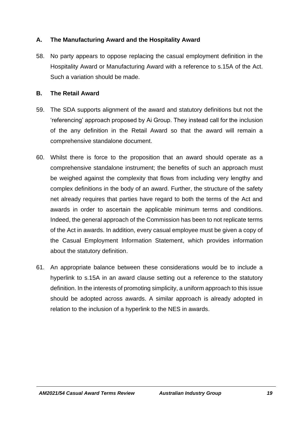## **A. The Manufacturing Award and the Hospitality Award**

58. No party appears to oppose replacing the casual employment definition in the Hospitality Award or Manufacturing Award with a reference to s.15A of the Act. Such a variation should be made.

### **B. The Retail Award**

- 59. The SDA supports alignment of the award and statutory definitions but not the 'referencing' approach proposed by Ai Group. They instead call for the inclusion of the any definition in the Retail Award so that the award will remain a comprehensive standalone document.
- 60. Whilst there is force to the proposition that an award should operate as a comprehensive standalone instrument; the benefits of such an approach must be weighed against the complexity that flows from including very lengthy and complex definitions in the body of an award. Further, the structure of the safety net already requires that parties have regard to both the terms of the Act and awards in order to ascertain the applicable minimum terms and conditions. Indeed, the general approach of the Commission has been to not replicate terms of the Act in awards. In addition, every casual employee must be given a copy of the Casual Employment Information Statement, which provides information about the statutory definition.
- 61. An appropriate balance between these considerations would be to include a hyperlink to s.15A in an award clause setting out a reference to the statutory definition. In the interests of promoting simplicity, a uniform approach to this issue should be adopted across awards. A similar approach is already adopted in relation to the inclusion of a hyperlink to the NES in awards.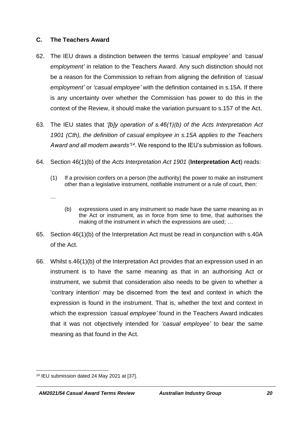#### **C. The Teachers Award**

- 62. The IEU draws a distinction between the terms *'casual employee'* and *'casual employment'* in relation to the Teachers Award. Any such distinction should not be a reason for the Commission to refrain from aligning the definition of *'casual employment'* or *'casual employee'* with the definition contained in s.15A. If there is any uncertainty over whether the Commission has power to do this in the context of the Review, it should make the variation pursuant to s.157 of the Act.
- 63. The IEU states that *'[b]y operation of s.46(1)(b) of the Acts Interpretation Act 1901 (Cth), the definition of casual employee in s.15A applies to the Teachers Award and all modern awards'<sup>14</sup>* . We respond to the IEU's submission as follows.
- 64. Section 46(1)(b) of the *Acts Interpretation Act 1901* (**Interpretation Act**) reads:
	- (1) If a provision confers on a person (the authority) the power to make an instrument other than a legislative instrument, notifiable instrument or a rule of court, then:
	- …
- (b) expressions used in any instrument so made have the same meaning as in the Act or instrument, as in force from time to time, that authorises the making of the instrument in which the expressions are used; …
- 65. Section 46(1)(b) of the Interpretation Act must be read in conjunction with s.40A of the Act.
- 66. Whilst s.46(1)(b) of the Interpretation Act provides that an expression used in an instrument is to have the same meaning as that in an authorising Act or instrument, we submit that consideration also needs to be given to whether a 'contrary intention' may be discerned from the text and context in which the expression is found in the instrument. That is, whether the text and context in which the expression *'casual employee'* found in the Teachers Award indicates that it was not objectively intended for *'casual employee'* to bear the same meaning as that found in the Act.

<sup>14</sup> IEU submission dated 24 May 2021 at [37].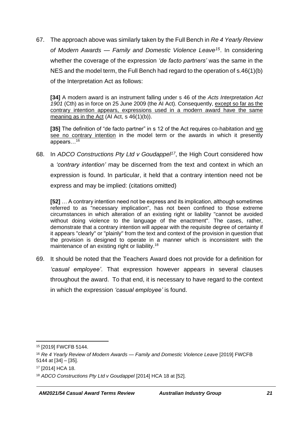67. The approach above was similarly taken by the Full Bench in *Re 4 Yearly Review of Modern Awards — Family and Domestic Violence Leave<sup>15</sup>*. In considering whether the coverage of the expression *'de facto partners'* was the same in the NES and the model term, the Full Bench had regard to the operation of s.46(1)(b) of the Interpretation Act as follows:

**[34]** A modern award is an instrument falling under s 46 of the *Acts Interpretation Act 1901* (Cth) as in force on 25 June 2009 (the AI Act). Consequently, except so far as the contrary intention appears, expressions used in a modern award have the same meaning as in the Act (AI Act, s 46(1)(b)).

**[35]** The definition of "de facto partner" in s 12 of the Act requires co-habitation and we see no contrary intention in the model term or the awards in which it presently appears…<sup>16</sup>

68. In *ADCO Constructions Pty Ltd v Goudappel<sup>17</sup>*, the High Court considered how a *'contrary intention'* may be discerned from the text and context in which an expression is found. In particular, it held that a contrary intention need not be express and may be implied: (citations omitted)

**[52]** … A contrary intention need not be express and its implication, although sometimes referred to as "necessary implication", has not been confined to those extreme circumstances in which alteration of an existing right or liability "cannot be avoided without doing violence to the language of the enactment". The cases, rather, demonstrate that a contrary intention will appear with the requisite degree of certainty if it appears "clearly" or "plainly" from the text and context of the provision in question that the provision is designed to operate in a manner which is inconsistent with the maintenance of an existing right or liability.<sup>18</sup>

69. It should be noted that the Teachers Award does not provide for a definition for *'casual employee'*. That expression however appears in several clauses throughout the award. To that end, it is necessary to have regard to the context in which the expression *'casual employee'* is found.

<sup>15</sup> [2019] FWCFB 5144.

<sup>16</sup> *Re 4 Yearly Review of Modern Awards — Family and Domestic Violence Leave* [2019] FWCFB 5144 at [34] – [35].

<sup>17</sup> [2014] HCA 18.

<sup>18</sup> *ADCO Constructions Pty Ltd v Goudappel* [2014] HCA 18 at [52].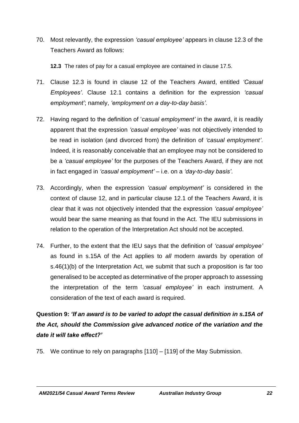70. Most relevantly, the expression *'casual employee'* appears in clause 12.3 of the Teachers Award as follows:

**12.3** The rates of pay for a casual employee are contained in clause 17.5.

- 71. Clause 12.3 is found in clause 12 of the Teachers Award, entitled *'Casual Employees'*. Clause 12.1 contains a definition for the expression *'casual employment'*; namely, *'employment on a day-to-day basis'.*
- 72. Having regard to the definition of '*casual employment'* in the award, it is readily apparent that the expression *'casual employee'* was not objectively intended to be read in isolation (and divorced from) the definition of *'casual employment'*. Indeed, it is reasonably conceivable that an employee may not be considered to be a *'casual employee'* for the purposes of the Teachers Award, if they are not in fact engaged in *'casual employment'* – i.e. on a *'day-to-day basis'*.
- 73. Accordingly, when the expression *'casual employment'* is considered in the context of clause 12, and in particular clause 12.1 of the Teachers Award, it is clear that it was not objectively intended that the expression *'casual employee'* would bear the same meaning as that found in the Act. The IEU submissions in relation to the operation of the Interpretation Act should not be accepted.
- 74. Further, to the extent that the IEU says that the definition of *'casual employee'* as found in s.15A of the Act applies to *all* modern awards by operation of s.46(1)(b) of the Interpretation Act, we submit that such a proposition is far too generalised to be accepted as determinative of the proper approach to assessing the interpretation of the term *'casual employee'* in each instrument. A consideration of the text of each award is required.

# **Question 9:** *'If an award is to be varied to adopt the casual definition in s.15A of the Act, should the Commission give advanced notice of the variation and the date it will take effect?'*

75. We continue to rely on paragraphs [110] – [119] of the May Submission.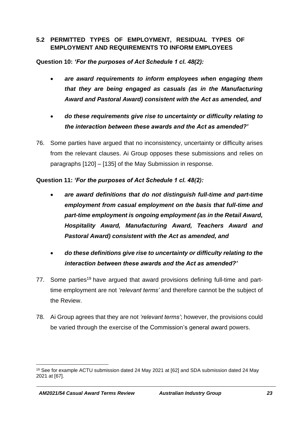### **5.2 PERMITTED TYPES OF EMPLOYMENT, RESIDUAL TYPES OF EMPLOYMENT AND REQUIREMENTS TO INFORM EMPLOYEES**

**Question 10:** *'For the purposes of Act Schedule 1 cl. 48(2):*

- *are award requirements to inform employees when engaging them that they are being engaged as casuals (as in the Manufacturing Award and Pastoral Award) consistent with the Act as amended, and*
- *do these requirements give rise to uncertainty or difficulty relating to the interaction between these awards and the Act as amended?'*
- 76. Some parties have argued that no inconsistency, uncertainty or difficulty arises from the relevant clauses. Ai Group opposes these submissions and relies on paragraphs [120] – [135] of the May Submission in response.

**Question 11:** *'For the purposes of Act Schedule 1 cl. 48(2):*

- *are award definitions that do not distinguish full-time and part-time employment from casual employment on the basis that full-time and part-time employment is ongoing employment (as in the Retail Award, Hospitality Award, Manufacturing Award, Teachers Award and Pastoral Award) consistent with the Act as amended, and*
- *do these definitions give rise to uncertainty or difficulty relating to the interaction between these awards and the Act as amended?'*
- 77. Some parties<sup>19</sup> have argued that award provisions defining full-time and parttime employment are not *'relevant terms'* and therefore cannot be the subject of the Review.
- 78. Ai Group agrees that they are not *'relevant terms'*; however, the provisions could be varied through the exercise of the Commission's general award powers.

<sup>19</sup> See for example ACTU submission dated 24 May 2021 at [62] and SDA submission dated 24 May 2021 at [67].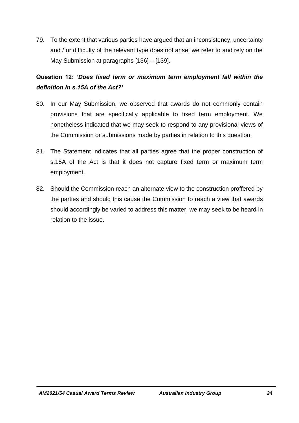79. To the extent that various parties have argued that an inconsistency, uncertainty and / or difficulty of the relevant type does not arise; we refer to and rely on the May Submission at paragraphs [136] – [139].

# **Question 12: '***Does fixed term or maximum term employment fall within the definition in s.15A of the Act?'*

- 80. In our May Submission, we observed that awards do not commonly contain provisions that are specifically applicable to fixed term employment. We nonetheless indicated that we may seek to respond to any provisional views of the Commission or submissions made by parties in relation to this question.
- 81. The Statement indicates that all parties agree that the proper construction of s.15A of the Act is that it does not capture fixed term or maximum term employment.
- 82. Should the Commission reach an alternate view to the construction proffered by the parties and should this cause the Commission to reach a view that awards should accordingly be varied to address this matter, we may seek to be heard in relation to the issue.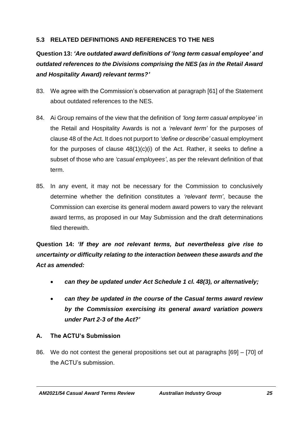## **5.3 RELATED DEFINITIONS AND REFERENCES TO THE NES**

# **Question 13:** *'Are outdated award definitions of 'long term casual employee' and outdated references to the Divisions comprising the NES (as in the Retail Award and Hospitality Award) relevant terms?'*

- 83. We agree with the Commission's observation at paragraph [61] of the Statement about outdated references to the NES.
- 84. Ai Group remains of the view that the definition of *'long term casual employee'* in the Retail and Hospitality Awards is not a *'relevant term'* for the purposes of clause 48 of the Act. It does not purport to *'define or describe'* casual employment for the purposes of clause  $48(1)(c)(i)$  of the Act. Rather, it seeks to define a subset of those who are *'casual employees'*, as per the relevant definition of that term.
- 85. In any event, it may not be necessary for the Commission to conclusively determine whether the definition constitutes a *'relevant term'*, because the Commission can exercise its general modern award powers to vary the relevant award terms, as proposed in our May Submission and the draft determinations filed therewith.

**Question 14:** *'If they are not relevant terms, but nevertheless give rise to uncertainty or difficulty relating to the interaction between these awards and the Act as amended:*

- *can they be updated under Act Schedule 1 cl. 48(3), or alternatively;*
- *can they be updated in the course of the Casual terms award review by the Commission exercising its general award variation powers under Part 2-3 of the Act?'*
- **A. The ACTU's Submission**
- 86. We do not contest the general propositions set out at paragraphs [69] [70] of the ACTU's submission.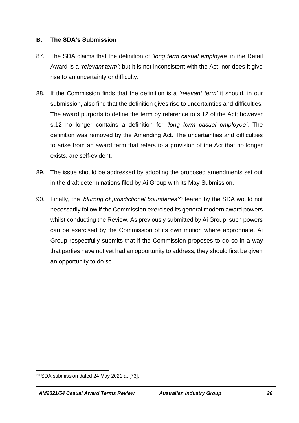#### **B. The SDA's Submission**

- 87. The SDA claims that the definition of *'long term casual employee'* in the Retail Award is a *'relevant term'*; but it is not inconsistent with the Act; nor does it give rise to an uncertainty or difficulty.
- 88. If the Commission finds that the definition is a *'relevant term'* it should, in our submission, also find that the definition gives rise to uncertainties and difficulties. The award purports to define the term by reference to s.12 of the Act; however s.12 no longer contains a definition for *'long term casual employee'*. The definition was removed by the Amending Act. The uncertainties and difficulties to arise from an award term that refers to a provision of the Act that no longer exists, are self-evident.
- 89. The issue should be addressed by adopting the proposed amendments set out in the draft determinations filed by Ai Group with its May Submission.
- 90. Finally, the *'blurring of jurisdictional boundaries'<sup>20</sup>* feared by the SDA would not necessarily follow if the Commission exercised its general modern award powers whilst conducting the Review. As previously submitted by Ai Group, such powers can be exercised by the Commission of its own motion where appropriate. Ai Group respectfully submits that if the Commission proposes to do so in a way that parties have not yet had an opportunity to address, they should first be given an opportunity to do so.

<sup>20</sup> SDA submission dated 24 May 2021 at [73].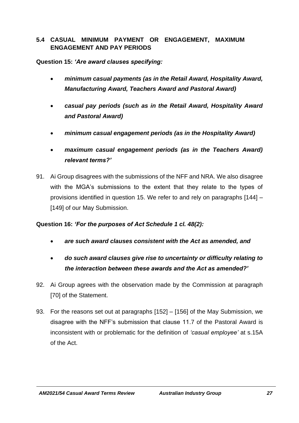## **5.4 CASUAL MINIMUM PAYMENT OR ENGAGEMENT, MAXIMUM ENGAGEMENT AND PAY PERIODS**

### **Question 15:** *'Are award clauses specifying:*

- *minimum casual payments (as in the Retail Award, Hospitality Award, Manufacturing Award, Teachers Award and Pastoral Award)*
- *casual pay periods (such as in the Retail Award, Hospitality Award and Pastoral Award)*
- *minimum casual engagement periods (as in the Hospitality Award)*
- *maximum casual engagement periods (as in the Teachers Award) relevant terms?'*
- 91. Ai Group disagrees with the submissions of the NFF and NRA. We also disagree with the MGA's submissions to the extent that they relate to the types of provisions identified in question 15. We refer to and rely on paragraphs [144] – [149] of our May Submission.

#### **Question 16:** *'For the purposes of Act Schedule 1 cl. 48(2):*

- *are such award clauses consistent with the Act as amended, and*
- *do such award clauses give rise to uncertainty or difficulty relating to the interaction between these awards and the Act as amended?'*
- 92. Ai Group agrees with the observation made by the Commission at paragraph [70] of the Statement.
- 93. For the reasons set out at paragraphs [152] [156] of the May Submission, we disagree with the NFF's submission that clause 11.7 of the Pastoral Award is inconsistent with or problematic for the definition of *'casual employee'* at s.15A of the Act.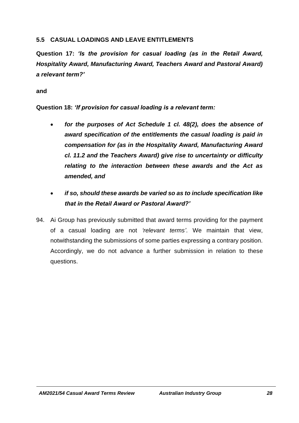### **5.5 CASUAL LOADINGS AND LEAVE ENTITLEMENTS**

**Question 17:** *'Is the provision for casual loading (as in the Retail Award, Hospitality Award, Manufacturing Award, Teachers Award and Pastoral Award) a relevant term?'*

#### **and**

**Question 18:** *'If provision for casual loading is a relevant term:*

- *for the purposes of Act Schedule 1 cl. 48(2), does the absence of award specification of the entitlements the casual loading is paid in compensation for (as in the Hospitality Award, Manufacturing Award cl. 11.2 and the Teachers Award) give rise to uncertainty or difficulty relating to the interaction between these awards and the Act as amended, and*
- *if so, should these awards be varied so as to include specification like that in the Retail Award or Pastoral Award?'*
- 94. Ai Group has previously submitted that award terms providing for the payment of a casual loading are not *'relevant terms'*. We maintain that view, notwithstanding the submissions of some parties expressing a contrary position. Accordingly, we do not advance a further submission in relation to these questions.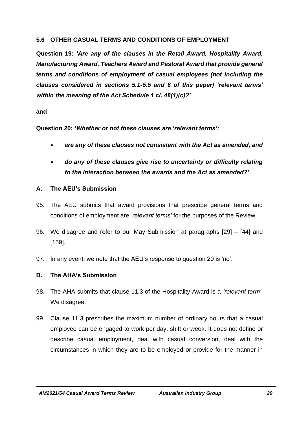### **5.6 OTHER CASUAL TERMS AND CONDITIONS OF EMPLOYMENT**

**Question 19:** *'Are any of the clauses in the Retail Award, Hospitality Award, Manufacturing Award, Teachers Award and Pastoral Award that provide general terms and conditions of employment of casual employees (not including the clauses considered in sections 5.1-5.5 and 6 of this paper) 'relevant terms' within the meaning of the Act Schedule 1 cl. 48(1)(c)?'*

#### **and**

**Question 20:** *'Whether or not these clauses are 'relevant terms':*

- *are any of these clauses not consistent with the Act as amended, and*
- *do any of these clauses give rise to uncertainty or difficulty relating to the interaction between the awards and the Act as amended?'*

#### **A. The AEU's Submission**

- 95. The AEU submits that award provisions that prescribe general terms and conditions of employment are *'relevant terms'* for the purposes of the Review.
- 96. We disagree and refer to our May Submission at paragraphs [29] [44] and [159].
- 97. In any event, we note that the AEU's response to question 20 is 'no'.

## **B. The AHA's Submission**

- 98. The AHA submits that clause 11.3 of the Hospitality Award is a *'relevant term'*. We disagree.
- 99. Clause 11.3 prescribes the maximum number of ordinary hours that a casual employee can be engaged to work per day, shift or week. It does not define or describe casual employment, deal with casual conversion, deal with the circumstances in which they are to be employed or provide for the manner in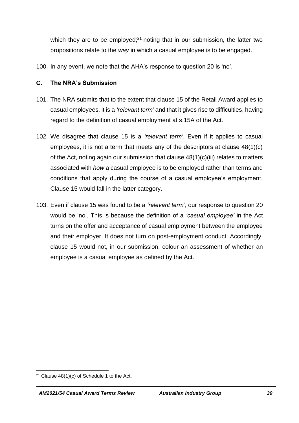which they are to be employed; $21$  noting that in our submission, the latter two propositions relate to the *way* in which a casual employee is to be engaged.

100. In any event, we note that the AHA's response to question 20 is 'no'.

## **C. The NRA's Submission**

- 101. The NRA submits that to the extent that clause 15 of the Retail Award applies to casual employees, it is a *'relevant term'* and that it gives rise to difficulties, having regard to the definition of casual employment at s.15A of the Act.
- 102. We disagree that clause 15 is a *'relevant term'*. Even if it applies to casual employees, it is not a term that meets any of the descriptors at clause 48(1)(c) of the Act, noting again our submission that clause 48(1)(c)(iii) relates to matters associated with *how* a casual employee is to be employed rather than terms and conditions that apply during the course of a casual employee's employment. Clause 15 would fall in the latter category.
- 103. Even if clause 15 was found to be a *'relevant term'*, our response to question 20 would be 'no'. This is because the definition of a *'casual employee'* in the Act turns on the offer and acceptance of casual employment between the employee and their employer. It does not turn on post-employment conduct. Accordingly, clause 15 would not, in our submission, colour an assessment of whether an employee is a casual employee as defined by the Act.

<sup>&</sup>lt;sup>21</sup> Clause  $48(1)(c)$  of Schedule 1 to the Act.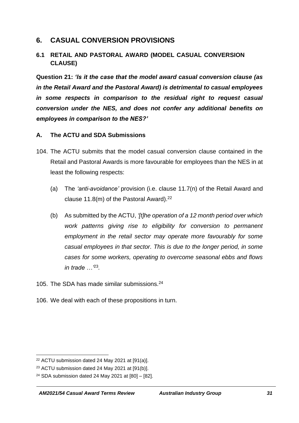## **6. CASUAL CONVERSION PROVISIONS**

## **6.1 RETAIL AND PASTORAL AWARD (MODEL CASUAL CONVERSION CLAUSE)**

**Question 21:** *'Is it the case that the model award casual conversion clause (as in the Retail Award and the Pastoral Award) is detrimental to casual employees in some respects in comparison to the residual right to request casual conversion under the NES, and does not confer any additional benefits on employees in comparison to the NES?'*

#### **A. The ACTU and SDA Submissions**

- 104. The ACTU submits that the model casual conversion clause contained in the Retail and Pastoral Awards is more favourable for employees than the NES in at least the following respects:
	- (a) The *'anti-avoidance'* provision (i.e. clause 11.7(n) of the Retail Award and clause 11.8(m) of the Pastoral Award). $22$
	- (b) As submitted by the ACTU, *'[t]he operation of a 12 month period over which work patterns giving rise to eligibility for conversion to permanent employment in the retail sector may operate more favourably for some casual employees in that sector. This is due to the longer period, in some cases for some workers, operating to overcome seasonal ebbs and flows in trade …'*<sup>23</sup> *.*
- 105. The SDA has made similar submissions.<sup>24</sup>
- 106. We deal with each of these propositions in turn.

<sup>22</sup> ACTU submission dated 24 May 2021 at [91(a)].

<sup>23</sup> ACTU submission dated 24 May 2021 at [91(b)].

<sup>24</sup> SDA submission dated 24 May 2021 at [80] – [82].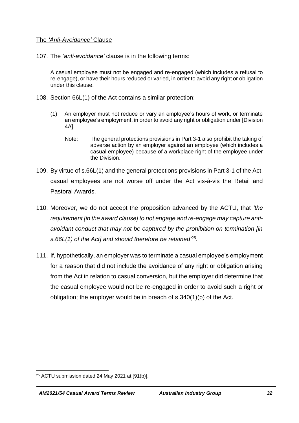#### The *'Anti-Avoidance'* Clause

107. The *'anti-avoidance'* clause is in the following terms:

A casual employee must not be engaged and re-engaged (which includes a refusal to re-engage), or have their hours reduced or varied, in order to avoid any right or obligation under this clause.

- 108. Section 66L(1) of the Act contains a similar protection:
	- (1) An employer must not reduce or vary an employee's hours of work, or terminate an employee's employment, in order to avoid any right or obligation under [Division 4A].
		- Note: The general protections provisions in Part 3-1 also prohibit the taking of adverse action by an employer against an employee (which includes a casual employee) because of a workplace right of the employee under the Division.
- 109. By virtue of s.66L(1) and the general protections provisions in Part 3-1 of the Act, casual employees are not worse off under the Act vis-à-vis the Retail and Pastoral Awards.
- 110. Moreover, we do not accept the proposition advanced by the ACTU, that *'the requirement [in the award clause] to not engage and re-engage may capture antiavoidant conduct that may not be captured by the prohibition on termination [in s.66L(1) of the Act] and should therefore be retained'* 25 *.*
- 111. If, hypothetically, an employer was to terminate a casual employee's employment for a reason that did not include the avoidance of any right or obligation arising from the Act in relation to casual conversion, but the employer did determine that the casual employee would not be re-engaged in order to avoid such a right or obligation; the employer would be in breach of s.340(1)(b) of the Act.

<sup>25</sup> ACTU submission dated 24 May 2021 at [91(b)].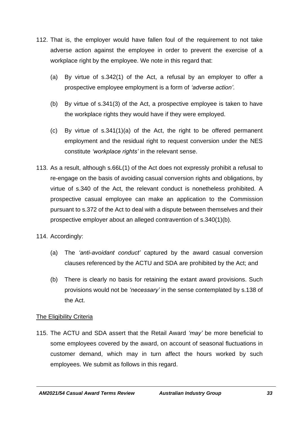- 112. That is, the employer would have fallen foul of the requirement to not take adverse action against the employee in order to prevent the exercise of a workplace right by the employee. We note in this regard that:
	- (a) By virtue of s.342(1) of the Act, a refusal by an employer to offer a prospective employee employment is a form of *'adverse action'*.
	- (b) By virtue of s.341(3) of the Act, a prospective employee is taken to have the workplace rights they would have if they were employed.
	- (c) By virtue of s.341(1)(a) of the Act, the right to be offered permanent employment and the residual right to request conversion under the NES constitute *'workplace rights'* in the relevant sense.
- 113. As a result, although s.66L(1) of the Act does not expressly prohibit a refusal to re-engage on the basis of avoiding casual conversion rights and obligations, by virtue of s.340 of the Act, the relevant conduct is nonetheless prohibited. A prospective casual employee can make an application to the Commission pursuant to s.372 of the Act to deal with a dispute between themselves and their prospective employer about an alleged contravention of s.340(1)(b).
- 114. Accordingly:
	- (a) The *'anti-avoidant conduct'* captured by the award casual conversion clauses referenced by the ACTU and SDA are prohibited by the Act; and
	- (b) There is clearly no basis for retaining the extant award provisions. Such provisions would not be *'necessary'* in the sense contemplated by s.138 of the Act.

## The Eligibility Criteria

115. The ACTU and SDA assert that the Retail Award *'may'* be more beneficial to some employees covered by the award, on account of seasonal fluctuations in customer demand, which may in turn affect the hours worked by such employees. We submit as follows in this regard.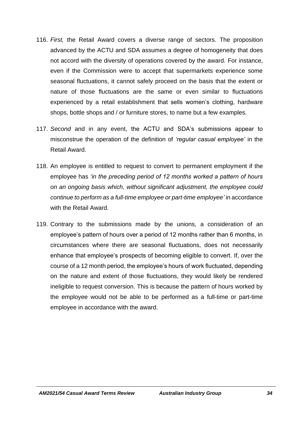- 116. *First,* the Retail Award covers a diverse range of sectors. The proposition advanced by the ACTU and SDA assumes a degree of homogeneity that does not accord with the diversity of operations covered by the award. For instance, even if the Commission were to accept that supermarkets experience some seasonal fluctuations, it cannot safely proceed on the basis that the extent or nature of those fluctuations are the same or even similar to fluctuations experienced by a retail establishment that sells women's clothing, hardware shops, bottle shops and / or furniture stores, to name but a few examples.
- 117. *Second* and in any event, the ACTU and SDA's submissions appear to misconstrue the operation of the definition of *'regular casual employee'* in the Retail Award.
- 118. An employee is entitled to request to convert to permanent employment if the employee has *'in the preceding period of 12 months worked a pattern of hours on an ongoing basis which, without significant adjustment, the employee could continue to perform as a full-time employee or part-time employee'* in accordance with the Retail Award.
- 119. Contrary to the submissions made by the unions, a consideration of an employee's pattern of hours over a period of 12 months rather than 6 months, in circumstances where there are seasonal fluctuations, does not necessarily enhance that employee's prospects of becoming eligible to convert. If, over the course of a 12 month period, the employee's hours of work fluctuated, depending on the nature and extent of those fluctuations, they would likely be rendered ineligible to request conversion. This is because the pattern of hours worked by the employee would not be able to be performed as a full-time or part-time employee in accordance with the award.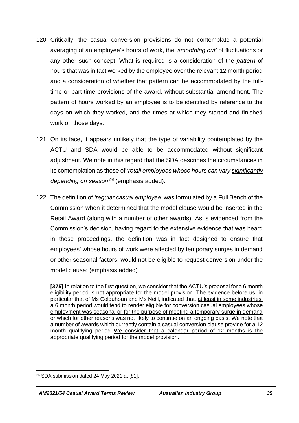- 120. Critically, the casual conversion provisions do not contemplate a potential averaging of an employee's hours of work, the *'smoothing out'* of fluctuations or any other such concept. What is required is a consideration of the *pattern* of hours that was in fact worked by the employee over the relevant 12 month period and a consideration of whether that pattern can be accommodated by the fulltime or part-time provisions of the award, without substantial amendment. The pattern of hours worked by an employee is to be identified by reference to the days on which they worked, and the times at which they started and finished work on those days.
- 121. On its face, it appears unlikely that the type of variability contemplated by the ACTU and SDA would be able to be accommodated without significant adjustment. We note in this regard that the SDA describes the circumstances in its contemplation as those of *'retail employees whose hours can vary significantly depending on season'<sup>26</sup>* (emphasis added).
- 122. The definition of *'regular casual employee'* was formulated by a Full Bench of the Commission when it determined that the model clause would be inserted in the Retail Award (along with a number of other awards). As is evidenced from the Commission's decision, having regard to the extensive evidence that was heard in those proceedings, the definition was in fact designed to ensure that employees' whose hours of work were affected by temporary surges in demand or other seasonal factors, would not be eligible to request conversion under the model clause: (emphasis added)

**[375]** In relation to the first question, we consider that the ACTU's proposal for a 6 month eligibility period is not appropriate for the model provision. The evidence before us, in particular that of Ms Colquhoun and Ms Neill, indicated that, at least in some industries, a 6 month period would tend to render eligible for conversion casual employees whose employment was seasonal or for the purpose of meeting a temporary surge in demand or which for other reasons was not likely to continue on an ongoing basis. We note that a number of awards which currently contain a casual conversion clause provide for a 12 month qualifying period. We consider that a calendar period of 12 months is the appropriate qualifying period for the model provision.

<sup>26</sup> SDA submission dated 24 May 2021 at [81].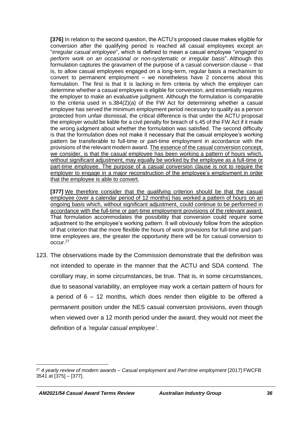**[376]** In relation to the second question, the ACTU's proposed clause makes eligible for conversion after the qualifying period is reached all casual employees except an "*irregular casual employee*", which is defined to mean a casual employee "*engaged to perform work on an occasional or non-systematic or irregular basis*". Although this formulation captures the gravamen of the purpose of a casual conversion clause – that is, to allow casual employees engaged on a long-term, regular basis a mechanism to convert to permanent employment – we nonetheless have 2 concerns about this formulation. The first is that it is lacking in firm criteria by which the employer can determine whether a casual employee is eligible for conversion, and essentially requires the employer to make an evaluative judgment. Although the formulation is comparable to the criteria used in s.384(2)(a) of the FW Act for determining whether a casual employee has served the minimum employment period necessary to qualify as a person protected from unfair dismissal, the critical difference is that under the ACTU proposal the employer would be liable for a civil penalty for breach of s.45 of the FW Act if it made the wrong judgment about whether the formulation was satisfied. The second difficulty is that the formulation does not make it necessary that the casual employee's working pattern be transferable to full-time or part-time employment in accordance with the provisions of the relevant modern award. The essence of the casual conversion concept, we consider, is that the casual employee has been working a pattern of hours which, without significant adjustment, may equally be worked by the employee as a full-time or part-time employee. The purpose of a casual conversion clause is not to require the employer to engage in a major reconstruction of the employee's employment in order that the employee is able to convert.

[377] We therefore consider that the qualifying criterion should be that the casual employee (over a calendar period of 12 months) has worked a pattern of hours on an ongoing basis which, without significant adjustment, could continue to be performed in accordance with the full-time or part-time employment provisions of the relevant award. That formulation accommodates the possibility that conversion could require some adjustment to the employee's working pattern. It will obviously follow from the adoption of that criterion that the more flexible the hours of work provisions for full-time and parttime employees are, the greater the opportunity there will be for casual conversion to occur.<sup>27</sup>

123. The observations made by the Commission demonstrate that the definition was not intended to operate in the manner that the ACTU and SDA contend. The corollary may, in some circumstances, be true. That is, in some circumstances, due to seasonal variability, an employee may work a certain pattern of hours for a period of 6 – 12 months, which does render then eligible to be offered a permanent position under the NES casual conversion provisions, even though when viewed over a 12 month period under the award, they would not meet the definition of a *'regular casual employee'*.

<sup>27</sup> *4 yearly review of modern awards – Casual employment and Part-time employment* [2017] FWCFB 3541 at [375] – [377].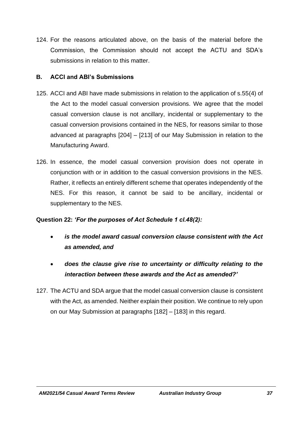124. For the reasons articulated above, on the basis of the material before the Commission, the Commission should not accept the ACTU and SDA's submissions in relation to this matter.

#### **B. ACCI and ABI's Submissions**

- 125. ACCI and ABI have made submissions in relation to the application of s.55(4) of the Act to the model casual conversion provisions. We agree that the model casual conversion clause is not ancillary, incidental or supplementary to the casual conversion provisions contained in the NES, for reasons similar to those advanced at paragraphs [204] – [213] of our May Submission in relation to the Manufacturing Award.
- 126. In essence, the model casual conversion provision does not operate in conjunction with or in addition to the casual conversion provisions in the NES. Rather, it reflects an entirely different scheme that operates independently of the NES. For this reason, it cannot be said to be ancillary, incidental or supplementary to the NES.

## **Question 22:** *'For the purposes of Act Schedule 1 cl.48(2):*

- *is the model award casual conversion clause consistent with the Act as amended, and*
- *does the clause give rise to uncertainty or difficulty relating to the interaction between these awards and the Act as amended?'*
- 127. The ACTU and SDA argue that the model casual conversion clause is consistent with the Act, as amended. Neither explain their position. We continue to rely upon on our May Submission at paragraphs [182] – [183] in this regard.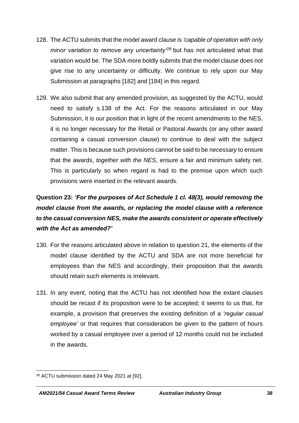- 128. The ACTU submits that the model award clause is *'capable of operation with only minor variation to remove any uncertainty'<sup>28</sup>* but has not articulated what that variation would be. The SDA more boldly submits that the model clause does not give rise to any uncertainty or difficulty. We continue to rely upon our May Submission at paragraphs [182] and [184] in this regard.
- 129. We also submit that any amended provision, as suggested by the ACTU, would need to satisfy s.138 of the Act. For the reasons articulated in our May Submission, it is our position that in light of the recent amendments to the NES, it is no longer necessary for the Retail or Pastoral Awards (or any other award containing a casual conversion clause) to continue to deal with the subject matter. This is because such provisions cannot be said to be *necessary* to ensure that the awards, *together with the NES*, ensure a fair and minimum safety net. This is particularly so when regard is had to the premise upon which such provisions were inserted in the relevant awards.

# **Question 23:** *'For the purposes of Act Schedule 1 cl. 48(3), would removing the model clause from the awards, or replacing the model clause with a reference to the casual conversion NES, make the awards consistent or operate effectively with the Act as amended?'*

- 130. For the reasons articulated above in relation to question 21, the elements of the model clause identified by the ACTU and SDA are not more beneficial for employees than the NES and accordingly, their proposition that the awards should retain such elements is irrelevant.
- 131. In any event, noting that the ACTU has not identified how the extant clauses should be recast if its proposition were to be accepted; it seems to us that, for example, a provision that preserves the existing definition of a *'regular casual employee'* or that requires that consideration be given to the pattern of hours worked by a casual employee over a period of 12 months could not be included in the awards.

<sup>28</sup> ACTU submission dated 24 May 2021 at [92].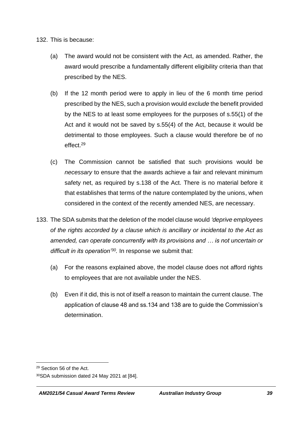132. This is because:

- (a) The award would not be consistent with the Act, as amended. Rather, the award would prescribe a fundamentally different eligibility criteria than that prescribed by the NES.
- (b) If the 12 month period were to apply in lieu of the 6 month time period prescribed by the NES, such a provision would *exclude* the benefit provided by the NES to at least some employees for the purposes of s.55(1) of the Act and it would not be saved by s.55(4) of the Act, because it would be detrimental to those employees. Such a clause would therefore be of no effect.<sup>29</sup>
- (c) The Commission cannot be satisfied that such provisions would be *necessary* to ensure that the awards achieve a fair and relevant minimum safety net, as required by s.138 of the Act. There is no material before it that establishes that terms of the nature contemplated by the unions, when considered in the context of the recently amended NES, are necessary.
- 133. The SDA submits that the deletion of the model clause would *'deprive employees of the rights accorded by a clause which is ancillary or incidental to the Act as amended, can operate concurrently with its provisions and … is not uncertain or difficult in its operation'<sup>30</sup> .* In response we submit that:
	- (a) For the reasons explained above, the model clause does not afford rights to employees that are not available under the NES.
	- (b) Even if it did, this is not of itself a reason to maintain the current clause. The application of clause 48 and ss.134 and 138 are to guide the Commission's determination.

<sup>29</sup> Section 56 of the Act.

<sup>30</sup>SDA submission dated 24 May 2021 at [84].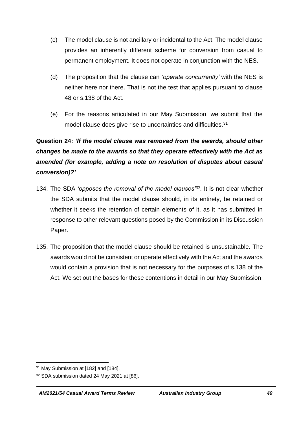- (c) The model clause is not ancillary or incidental to the Act. The model clause provides an inherently different scheme for conversion from casual to permanent employment. It does not operate in conjunction with the NES.
- (d) The proposition that the clause can *'operate concurrently'* with the NES is neither here nor there. That is not the test that applies pursuant to clause 48 or s.138 of the Act.
- (e) For the reasons articulated in our May Submission, we submit that the model clause does give rise to uncertainties and difficulties.<sup>31</sup>

# **Question 24:** *'If the model clause was removed from the awards, should other changes be made to the awards so that they operate effectively with the Act as amended (for example, adding a note on resolution of disputes about casual conversion)?'*

- 134. The SDA *'opposes the removal of the model clauses'<sup>32</sup>*. It is not clear whether the SDA submits that the model clause should, in its entirety, be retained or whether it seeks the retention of certain elements of it, as it has submitted in response to other relevant questions posed by the Commission in its Discussion Paper.
- 135. The proposition that the model clause should be retained is unsustainable. The awards would not be consistent or operate effectively with the Act and the awards would contain a provision that is not necessary for the purposes of s.138 of the Act. We set out the bases for these contentions in detail in our May Submission.

<sup>31</sup> May Submission at [182] and [184].

<sup>32</sup> SDA submission dated 24 May 2021 at [86].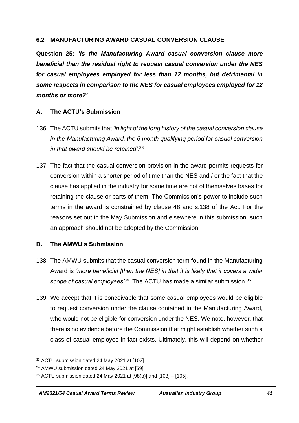#### **6.2 MANUFACTURING AWARD CASUAL CONVERSION CLAUSE**

**Question 25:** *'Is the Manufacturing Award casual conversion clause more beneficial than the residual right to request casual conversion under the NES for casual employees employed for less than 12 months, but detrimental in some respects in comparison to the NES for casual employees employed for 12 months or more?'*

#### **A. The ACTU's Submission**

- 136. The ACTU submits that *'in light of the long history of the casual conversion clause in the Manufacturing Award, the 6 month qualifying period for casual conversion in that award should be retained'*. 33
- 137. The fact that the casual conversion provision in the award permits requests for conversion within a shorter period of time than the NES and / or the fact that the clause has applied in the industry for some time are not of themselves bases for retaining the clause or parts of them. The Commission's power to include such terms in the award is constrained by clause 48 and s.138 of the Act. For the reasons set out in the May Submission and elsewhere in this submission, such an approach should not be adopted by the Commission.

#### **B. The AMWU's Submission**

- 138. The AMWU submits that the casual conversion term found in the Manufacturing Award is *'more beneficial [than the NES] in that it is likely that it covers a wider*  scope of casual employees<sup>34</sup>. The ACTU has made a similar submission.<sup>35</sup>
- 139. We accept that it is conceivable that some casual employees would be eligible to request conversion under the clause contained in the Manufacturing Award, who would not be eligible for conversion under the NES. We note, however, that there is no evidence before the Commission that might establish whether such a class of casual employee in fact exists. Ultimately, this will depend on whether

<sup>33</sup> ACTU submission dated 24 May 2021 at [102].

<sup>34</sup> AMWU submission dated 24 May 2021 at [59].

<sup>35</sup> ACTU submission dated 24 May 2021 at [98(b)] and [103] – [105].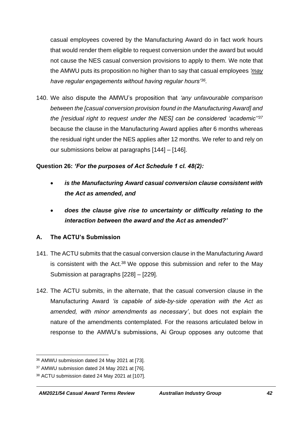casual employees covered by the Manufacturing Award do in fact work hours that would render them eligible to request conversion under the award but would not cause the NES casual conversion provisions to apply to them. We note that the AMWU puts its proposition no higher than to say that casual employees *'may have regular engagements without having regular hours'<sup>36</sup> .*

140. We also dispute the AMWU's proposition that *'any unfavourable comparison between the [casual conversion provision found in the Manufacturing Award] and the [residual right to request under the NES] can be considered 'academic''<sup>37</sup>* because the clause in the Manufacturing Award applies after 6 months whereas the residual right under the NES applies after 12 months. We refer to and rely on our submissions below at paragraphs [\[144\]](#page-42-0) – [\[146\]](#page-42-1).

## **Question 26:** *'For the purposes of Act Schedule 1 cl. 48(2):*

- *is the Manufacturing Award casual conversion clause consistent with the Act as amended, and*
- *does the clause give rise to uncertainty or difficulty relating to the interaction between the award and the Act as amended?'*

## **A. The ACTU's Submission**

- 141. The ACTU submits that the casual conversion clause in the Manufacturing Award is consistent with the Act. $38$  We oppose this submission and refer to the May Submission at paragraphs [228] – [229].
- 142. The ACTU submits, in the alternate, that the casual conversion clause in the Manufacturing Award *'is capable of side-by-side operation with the Act as amended, with minor amendments as necessary'*, but does not explain the nature of the amendments contemplated. For the reasons articulated below in response to the AMWU's submissions, Ai Group opposes any outcome that

<sup>36</sup> AMWU submission dated 24 May 2021 at [73].

<sup>37</sup> AMWU submission dated 24 May 2021 at [76].

<sup>38</sup> ACTU submission dated 24 May 2021 at [107].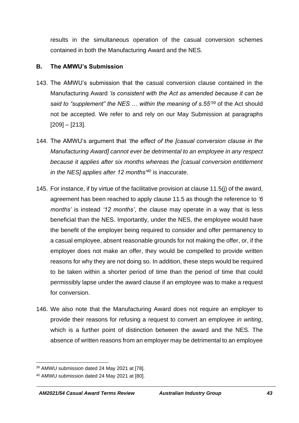results in the simultaneous operation of the casual conversion schemes contained in both the Manufacturing Award and the NES.

#### **B. The AMWU's Submission**

- 143. The AMWU's submission that the casual conversion clause contained in the Manufacturing Award *'is consistent with the Act as amended because it can be said to "supplement" the NES … within the meaning of s.55'<sup>39</sup>* of the Act should not be accepted. We refer to and rely on our May Submission at paragraphs [209] – [213].
- <span id="page-42-0"></span>144. The AMWU's argument that *'the effect of the [casual conversion clause in the Manufacturing Award] cannot ever be detrimental to an employee in any respect because it applies after six months whereas the [casual conversion entitlement in the NES] applies after 12 months'<sup>40</sup>* is inaccurate.
- 145. For instance, if by virtue of the facilitative provision at clause 11.5(j) of the award, agreement has been reached to apply clause 11.5 as though the reference to *'6 months'* is instead *'12 months'*, the clause may operate in a way that is less beneficial than the NES. Importantly, under the NES, the employee would have the benefit of the employer being required to consider and offer permanency to a casual employee, absent reasonable grounds for not making the offer, or, if the employer does not make an offer, they would be compelled to provide written reasons for why they are not doing so. In addition, these steps would be required to be taken within a shorter period of time than the period of time that could permissibly lapse under the award clause if an employee was to make a request for conversion.
- <span id="page-42-1"></span>146. We also note that the Manufacturing Award does not require an employer to provide their reasons for refusing a request to convert an employee *in writing*, which is a further point of distinction between the award and the NES. The absence of written reasons from an employer may be detrimental to an employee

<sup>39</sup> AMWU submission dated 24 May 2021 at [78].

<sup>40</sup> AMWU submission dated 24 May 2021 at [80].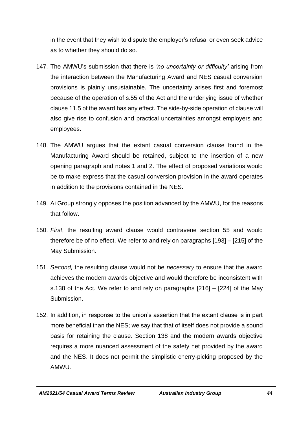in the event that they wish to dispute the employer's refusal or even seek advice as to whether they should do so.

- 147. The AMWU's submission that there is *'no uncertainty or difficulty'* arising from the interaction between the Manufacturing Award and NES casual conversion provisions is plainly unsustainable. The uncertainty arises first and foremost because of the operation of s.55 of the Act and the underlying issue of whether clause 11.5 of the award has any effect. The side-by-side operation of clause will also give rise to confusion and practical uncertainties amongst employers and employees.
- 148. The AMWU argues that the extant casual conversion clause found in the Manufacturing Award should be retained, subject to the insertion of a new opening paragraph and notes 1 and 2. The effect of proposed variations would be to make express that the casual conversion provision in the award operates in addition to the provisions contained in the NES.
- 149. Ai Group strongly opposes the position advanced by the AMWU, for the reasons that follow.
- 150. *First*, the resulting award clause would contravene section 55 and would therefore be of no effect. We refer to and rely on paragraphs [193] – [215] of the May Submission.
- 151. *Second,* the resulting clause would not be *necessary* to ensure that the award achieves the modern awards objective and would therefore be inconsistent with s.138 of the Act. We refer to and rely on paragraphs [216] – [224] of the May Submission.
- 152. In addition, in response to the union's assertion that the extant clause is in part more beneficial than the NES; we say that that of itself does not provide a sound basis for retaining the clause. Section 138 and the modern awards objective requires a more nuanced assessment of the safety net provided by the award and the NES. It does not permit the simplistic cherry-picking proposed by the AMWU.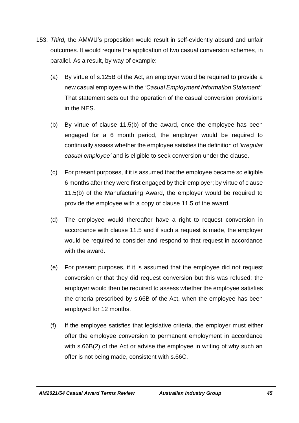- 153. *Third,* the AMWU's proposition would result in self-evidently absurd and unfair outcomes. It would require the application of two casual conversion schemes, in parallel. As a result, by way of example:
	- (a) By virtue of s.125B of the Act, an employer would be required to provide a new casual employee with the *'Casual Employment Information Statement'*. That statement sets out the operation of the casual conversion provisions in the NES.
	- (b) By virtue of clause 11.5(b) of the award, once the employee has been engaged for a 6 month period, the employer would be required to continually assess whether the employee satisfies the definition of *'irregular casual employee'* and is eligible to seek conversion under the clause.
	- (c) For present purposes, if it is assumed that the employee became so eligible 6 months after they were first engaged by their employer; by virtue of clause 11.5(b) of the Manufacturing Award, the employer would be required to provide the employee with a copy of clause 11.5 of the award.
	- (d) The employee would thereafter have a right to request conversion in accordance with clause 11.5 and if such a request is made, the employer would be required to consider and respond to that request in accordance with the award.
	- (e) For present purposes, if it is assumed that the employee did not request conversion or that they did request conversion but this was refused; the employer would then be required to assess whether the employee satisfies the criteria prescribed by s.66B of the Act, when the employee has been employed for 12 months.
	- (f) If the employee satisfies that legislative criteria, the employer must either offer the employee conversion to permanent employment in accordance with s.66B(2) of the Act or advise the employee in writing of why such an offer is not being made, consistent with s.66C.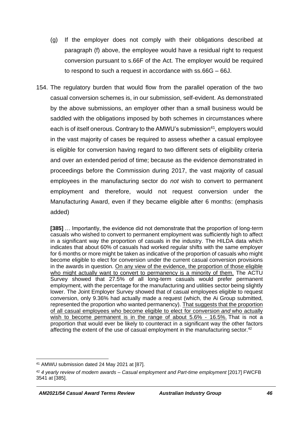- (g) If the employer does not comply with their obligations described at paragraph (f) above, the employee would have a residual right to request conversion pursuant to s.66F of the Act. The employer would be required to respond to such a request in accordance with ss.66G – 66J.
- 154. The regulatory burden that would flow from the parallel operation of the two casual conversion schemes is, in our submission, self-evident. As demonstrated by the above submissions, an employer other than a small business would be saddled with the obligations imposed by both schemes in circumstances where each is of itself onerous. Contrary to the AMWU's submission<sup>41</sup>, employers would in the vast majority of cases be required to assess whether a casual employee is eligible for conversion having regard to two different sets of eligibility criteria and over an extended period of time; because as the evidence demonstrated in proceedings before the Commission during 2017, the vast majority of casual employees in the manufacturing sector do *not* wish to convert to permanent employment and therefore, would not request conversion under the Manufacturing Award, even if they became eligible after 6 months: (emphasis added)

**[385]** … Importantly, the evidence did not demonstrate that the proportion of long-term casuals who wished to convert to permanent employment was sufficiently high to affect in a significant way the proportion of casuals in the industry. The HILDA data which indicates that about 60% of casuals had worked regular shifts with the same employer for 6 months or more might be taken as indicative of the proportion of casuals who might become eligible to elect for conversion under the current casual conversion provisions in the awards in question. On any view of the evidence, the proportion of those eligible who might actually want to convert to permanency is a minority of them. The ACTU Survey showed that 27.5% of all long-term casuals would prefer permanent employment, with the percentage for the manufacturing and utilities sector being slightly lower. The Joint Employer Survey showed that of casual employees eligible to request conversion, only 9.36% had actually made a request (which, the Ai Group submitted, represented the proportion who wanted permanency). That suggests that the proportion of all casual employees who become eligible to elect for conversion *and* who actually wish to become permanent is in the range of about 5.6% - 16.5%. That is not a proportion that would ever be likely to counteract in a significant way the other factors affecting the extent of the use of casual employment in the manufacturing sector.<sup>42</sup>

<sup>41</sup> AMWU submission dated 24 May 2021 at [87].

<sup>42</sup> *4 yearly review of modern awards – Casual employment and Part-time employment* [2017] FWCFB 3541 at [385].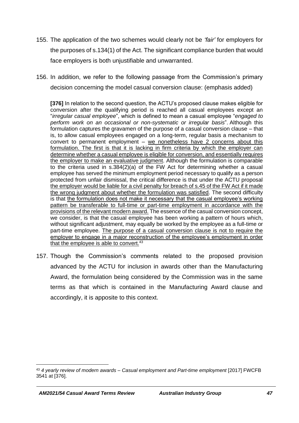- 155. The application of the two schemes would clearly not be *'fair'* for employers for the purposes of s.134(1) of the Act. The significant compliance burden that would face employers is both unjustifiable and unwarranted.
- 156. In addition, we refer to the following passage from the Commission's primary decision concerning the model casual conversion clause: (emphasis added)

**[376]** In relation to the second question, the ACTU's proposed clause makes eligible for conversion after the qualifying period is reached all casual employees except an "*irregular casual employee*", which is defined to mean a casual employee "*engaged to perform work on an occasional or non-systematic or irregular basis*". Although this formulation captures the gravamen of the purpose of a casual conversion clause – that is, to allow casual employees engaged on a long-term, regular basis a mechanism to convert to permanent employment – we nonetheless have 2 concerns about this formulation. The first is that it is lacking in firm criteria by which the employer can determine whether a casual employee is eligible for conversion, and essentially requires the employer to make an evaluative judgment. Although the formulation is comparable to the criteria used in s.384(2)(a) of the FW Act for determining whether a casual employee has served the minimum employment period necessary to qualify as a person protected from unfair dismissal, the critical difference is that under the ACTU proposal the employer would be liable for a civil penalty for breach of s.45 of the FW Act if it made the wrong judgment about whether the formulation was satisfied. The second difficulty is that the formulation does not make it necessary that the casual employee's working pattern be transferable to full-time or part-time employment in accordance with the provisions of the relevant modern award. The essence of the casual conversion concept, we consider, is that the casual employee has been working a pattern of hours which, without significant adjustment, may equally be worked by the employee as a full-time or part-time employee. The purpose of a casual conversion clause is not to require the employer to engage in a major reconstruction of the employee's employment in order that the employee is able to convert.<sup>43</sup>

157. Though the Commission's comments related to the proposed provision advanced by the ACTU for inclusion in awards other than the Manufacturing Award, the formulation being considered by the Commission was in the same terms as that which is contained in the Manufacturing Award clause and accordingly, it is apposite to this context.

<sup>43</sup> *4 yearly review of modern awards – Casual employment and Part-time employment* [2017] FWCFB 3541 at [376].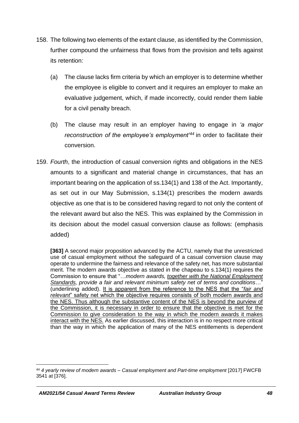- 158. The following two elements of the extant clause, as identified by the Commission, further compound the unfairness that flows from the provision and tells against its retention:
	- (a) The clause lacks firm criteria by which an employer is to determine whether the employee is eligible to convert and it requires an employer to make an evaluative judgement, which, if made incorrectly, could render them liable for a civil penalty breach.
	- (b) The clause may result in an employer having to engage in *'a major reconstruction of the employee's employment'<sup>44</sup>* in order to facilitate their conversion.
- 159. *Fourth*, the introduction of casual conversion rights and obligations in the NES amounts to a significant and material change in circumstances, that has an important bearing on the application of ss.134(1) and 138 of the Act. Importantly, as set out in our May Submission, s.134(1) prescribes the modern awards objective as one that is to be considered having regard to not only the content of the relevant award but also the NES. This was explained by the Commission in its decision about the model casual conversion clause as follows: (emphasis added)

**[363]** A second major proposition advanced by the ACTU, namely that the unrestricted use of casual employment without the safeguard of a casual conversion clause may operate to undermine the fairness and relevance of the safety net, has more substantial merit. The modern awards objective as stated in the chapeau to s.134(1) requires the Commission to ensure that "…*modern awards, together with the National Employment Standards, provide a fair and relevant minimum safety net of terms and conditions*…" (underlining added). It is apparent from the reference to the NES that the "*fair and relevant*" safety net which the objective requires consists of both modern awards and the NES. Thus although the substantive content of the NES is beyond the purview of the Commission, it is necessary in order to ensure that the objective is met for the Commission to give consideration to the way in which the modern awards it makes interact with the NES. As earlier discussed, this interaction is in no respect more critical than the way in which the application of many of the NES entitlements is dependent

<sup>44</sup> *4 yearly review of modern awards – Casual employment and Part-time employment* [2017] FWCFB 3541 at [376].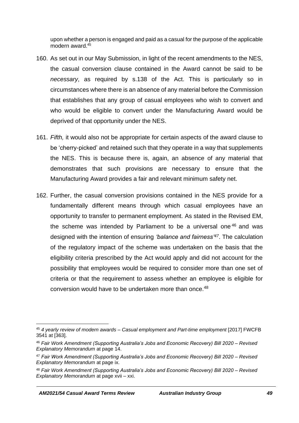upon whether a person is engaged and paid as a casual for the purpose of the applicable modern award.<sup>45</sup>

- 160. As set out in our May Submission, in light of the recent amendments to the NES, the casual conversion clause contained in the Award cannot be said to be *necessary*, as required by s.138 of the Act. This is particularly so in circumstances where there is an absence of any material before the Commission that establishes that any group of casual employees who wish to convert and who would be eligible to convert under the Manufacturing Award would be deprived of that opportunity under the NES.
- <span id="page-48-0"></span>161. *Fifth,* it would also not be appropriate for certain aspects of the award clause to be 'cherry-picked' and retained such that they operate in a way that supplements the NES. This is because there is, again, an absence of any material that demonstrates that such provisions are necessary to ensure that the Manufacturing Award provides a fair and relevant minimum safety net.
- 162. Further, the casual conversion provisions contained in the NES provide for a fundamentally different means through which casual employees have an opportunity to transfer to permanent employment. As stated in the Revised EM, the scheme was intended by Parliament to be a universal one <sup>46</sup> and was designed with the intention of ensuring *'balance and fairness' 47* . The calculation of the regulatory impact of the scheme was undertaken on the basis that the eligibility criteria prescribed by the Act would apply and did not account for the possibility that employees would be required to consider more than one set of criteria or that the requirement to assess whether an employee is eligible for conversion would have to be undertaken more than once.<sup>48</sup>

<sup>45</sup> *4 yearly review of modern awards – Casual employment and Part-time employment* [2017] FWCFB 3541 at [363].

<sup>46</sup> *Fair Work Amendment (Supporting Australia's Jobs and Economic Recovery) Bill 2020 – Revised Explanatory Memorandum* at page 14.

<sup>47</sup> *Fair Work Amendment (Supporting Australia's Jobs and Economic Recovery) Bill 2020 – Revised Explanatory Memorandum* at page ix.

<sup>48</sup> *Fair Work Amendment (Supporting Australia's Jobs and Economic Recovery) Bill 2020 – Revised Explanatory Memorandum* at page xvii – xxi.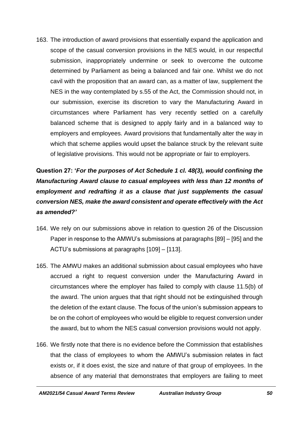<span id="page-49-0"></span>163. The introduction of award provisions that essentially expand the application and scope of the casual conversion provisions in the NES would, in our respectful submission, inappropriately undermine or seek to overcome the outcome determined by Parliament as being a balanced and fair one. Whilst we do not cavil with the proposition that an award can, as a matter of law, supplement the NES in the way contemplated by s.55 of the Act, the Commission should not, in our submission, exercise its discretion to vary the Manufacturing Award in circumstances where Parliament has very recently settled on a carefully balanced scheme that is designed to apply fairly and in a balanced way to employers and employees. Award provisions that fundamentally alter the way in which that scheme applies would upset the balance struck by the relevant suite of legislative provisions. This would not be appropriate or fair to employers.

# **Question 27: '***For the purposes of Act Schedule 1 cl. 48(3), would confining the Manufacturing Award clause to casual employees with less than 12 months of employment and redrafting it as a clause that just supplements the casual conversion NES, make the award consistent and operate effectively with the Act as amended?'*

- 164. We rely on our submissions above in relation to question 26 of the Discussion Paper in response to the AMWU's submissions at paragraphs [89] – [95] and the ACTU's submissions at paragraphs [109] – [113].
- 165. The AMWU makes an additional submission about casual employees who have accrued a right to request conversion under the Manufacturing Award in circumstances where the employer has failed to comply with clause 11.5(b) of the award. The union argues that that right should not be extinguished through the deletion of the extant clause. The focus of the union's submission appears to be on the cohort of employees who would be eligible to request conversion under the award, but to whom the NES casual conversion provisions would not apply.
- 166. We firstly note that there is no evidence before the Commission that establishes that the class of employees to whom the AMWU's submission relates in fact exists or, if it does exist, the size and nature of that group of employees. In the absence of any material that demonstrates that employers are failing to meet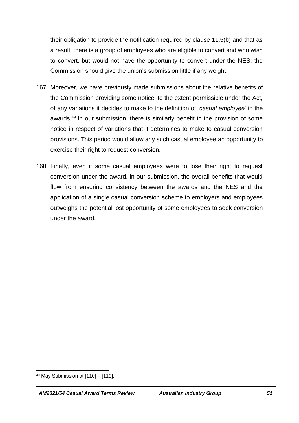their obligation to provide the notification required by clause 11.5(b) and that as a result, there is a group of employees who are eligible to convert and who wish to convert, but would not have the opportunity to convert under the NES; the Commission should give the union's submission little if any weight.

- 167. Moreover, we have previously made submissions about the relative benefits of the Commission providing some notice, to the extent permissible under the Act, of any variations it decides to make to the definition of *'casual employee'* in the awards.<sup>49</sup> In our submission, there is similarly benefit in the provision of some notice in respect of variations that it determines to make to casual conversion provisions. This period would allow any such casual employee an opportunity to exercise their right to request conversion.
- 168. Finally, even if some casual employees were to lose their right to request conversion under the award, in our submission, the overall benefits that would flow from ensuring consistency between the awards and the NES and the application of a single casual conversion scheme to employers and employees outweighs the potential lost opportunity of some employees to seek conversion under the award.

<sup>49</sup> May Submission at [110] – [119].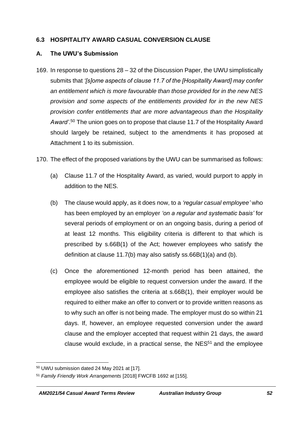#### **6.3 HOSPITALITY AWARD CASUAL CONVERSION CLAUSE**

#### **A. The UWU's Submission**

- 169. In response to questions 28 32 of the Discussion Paper, the UWU simplistically submits that *'[s]ome aspects of clause 11.7 of the [Hospitality Award] may confer an entitlement which is more favourable than those provided for in the new NES provision and some aspects of the entitlements provided for in the new NES provision confer entitlements that are more advantageous than the Hospitality Award'*. <sup>50</sup> The union goes on to propose that clause 11.7 of the Hospitality Award should largely be retained, subject to the amendments it has proposed at Attachment 1 to its submission.
- 170. The effect of the proposed variations by the UWU can be summarised as follows:
	- (a) Clause 11.7 of the Hospitality Award, as varied, would purport to apply in addition to the NES.
	- (b) The clause would apply, as it does now, to a *'regular casual employee'* who has been employed by an employer *'on a regular and systematic basis'* for several periods of employment or on an ongoing basis, during a period of at least 12 months. This eligibility criteria is different to that which is prescribed by s.66B(1) of the Act; however employees who satisfy the definition at clause 11.7(b) may also satisfy ss.66B(1)(a) and (b).
	- (c) Once the aforementioned 12-month period has been attained, the employee would be eligible to request conversion under the award. If the employee also satisfies the criteria at s.66B(1), their employer would be required to either make an offer to convert or to provide written reasons as to why such an offer is not being made. The employer must do so within 21 days. If, however, an employee requested conversion under the award clause and the employer accepted that request within 21 days, the award clause would exclude, in a practical sense, the  $NES<sup>51</sup>$  and the employee

<span id="page-51-0"></span><sup>50</sup> UWU submission dated 24 May 2021 at [17].

<sup>51</sup> *Family Friendly Work Arrangements* [2018] FWCFB 1692 at [155].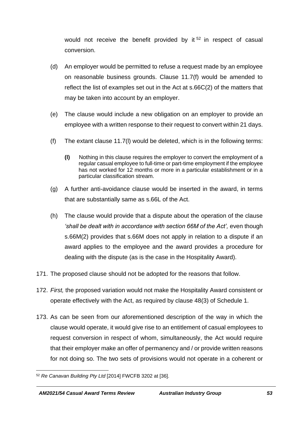would not receive the benefit provided by it <sup>52</sup> in respect of casual conversion.

- (d) An employer would be permitted to refuse a request made by an employee on reasonable business grounds. Clause 11.7(f) would be amended to reflect the list of examples set out in the Act at s.66C(2) of the matters that may be taken into account by an employer.
- (e) The clause would include a new obligation on an employer to provide an employee with a written response to their request to convert within 21 days.
- (f) The extant clause 11.7(l) would be deleted, which is in the following terms:
	- **(l)** Nothing in this clause requires the employer to convert the employment of a regular casual employee to full-time or part-time employment if the employee has not worked for 12 months or more in a particular establishment or in a particular classification stream.
- (g) A further anti-avoidance clause would be inserted in the award, in terms that are substantially same as s.66L of the Act.
- (h) The clause would provide that a dispute about the operation of the clause 'shall be dealt with in accordance with section 66M of the Act', even though s.66M(2) provides that s.66M does not apply in relation to a dispute if an award applies to the employee and the award provides a procedure for dealing with the dispute (as is the case in the Hospitality Award).
- 171. The proposed clause should not be adopted for the reasons that follow.
- 172. *First,* the proposed variation would not make the Hospitality Award consistent or operate effectively with the Act, as required by clause 48(3) of Schedule 1.
- 173. As can be seen from our aforementioned description of the way in which the clause would operate, it would give rise to an entitlement of casual employees to request conversion in respect of whom, simultaneously, the Act would require that their employer make an offer of permanency and / or provide written reasons for not doing so. The two sets of provisions would not operate in a coherent or

<sup>52</sup> *Re Canavan Building Pty Ltd* [2014] FWCFB 3202 at [36].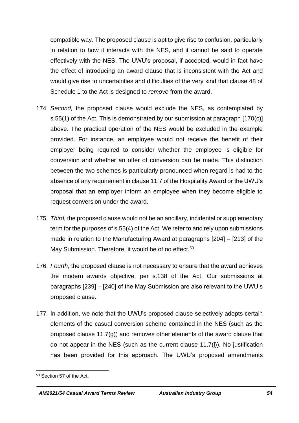compatible way. The proposed clause is apt to give rise to confusion, particularly in relation to how it interacts with the NES, and it cannot be said to operate effectively with the NES. The UWU's proposal, if accepted, would in fact have the effect of introducing an award clause that is inconsistent with the Act and would give rise to uncertainties and difficulties of the very kind that clause 48 of Schedule 1 to the Act is designed to *remove* from the award.

- 174. *Second,* the proposed clause would exclude the NES, as contemplated by s.55(1) of the Act. This is demonstrated by our submission at paragraph [17[0\(c\)\]](#page-51-0) above. The practical operation of the NES would be excluded in the example provided. For instance, an employee would not receive the benefit of their employer being required to consider whether the employee is eligible for conversion and whether an offer of conversion can be made. This distinction between the two schemes is particularly pronounced when regard is had to the absence of any requirement in clause 11.7 of the Hospitality Award or the UWU's proposal that an employer inform an employee when they become eligible to request conversion under the award.
- 175. *Third,* the proposed clause would not be an ancillary, incidental or supplementary term for the purposes of s.55(4) of the Act. We refer to and rely upon submissions made in relation to the Manufacturing Award at paragraphs [204] – [213] of the May Submission. Therefore, it would be of no effect.<sup>53</sup>
- 176. *Fourth*, the proposed clause is not necessary to ensure that the award achieves the modern awards objective, per s.138 of the Act. Our submissions at paragraphs [239] – [240] of the May Submission are also relevant to the UWU's proposed clause.
- 177. In addition, we note that the UWU's proposed clause selectively adopts certain elements of the casual conversion scheme contained in the NES (such as the proposed clause  $11.7(q)$ ) and removes other elements of the award clause that do not appear in the NES (such as the current clause 11.7(l)). No justification has been provided for this approach. The UWU's proposed amendments

<sup>53</sup> Section 57 of the Act.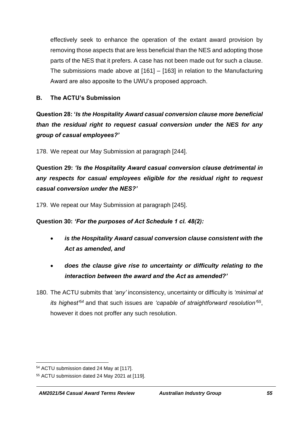effectively seek to enhance the operation of the extant award provision by removing those aspects that are less beneficial than the NES and adopting those parts of the NES that it prefers. A case has not been made out for such a clause. The submissions made above at [\[161\]](#page-48-0) – [\[163\]](#page-49-0) in relation to the Manufacturing Award are also apposite to the UWU's proposed approach.

## **B. The ACTU's Submission**

**Question 28: '***Is the Hospitality Award casual conversion clause more beneficial than the residual right to request casual conversion under the NES for any group of casual employees?'*

178. We repeat our May Submission at paragraph [244].

**Question 29:** *'Is the Hospitality Award casual conversion clause detrimental in any respects for casual employees eligible for the residual right to request casual conversion under the NES?'*

179. We repeat our May Submission at paragraph [245].

**Question 30:** *'For the purposes of Act Schedule 1 cl. 48(2):*

- *is the Hospitality Award casual conversion clause consistent with the Act as amended, and*
- *does the clause give rise to uncertainty or difficulty relating to the interaction between the award and the Act as amended?'*
- 180. The ACTU submits that *'any'* inconsistency, uncertainty or difficulty is *'minimal at its highest'<sup>54</sup>* and that such issues are *'capable of straightforward resolution'<sup>55</sup>* , however it does not proffer any such resolution.

<sup>54</sup> ACTU submission dated 24 May at [117].

<sup>55</sup> ACTU submission dated 24 May 2021 at [119].